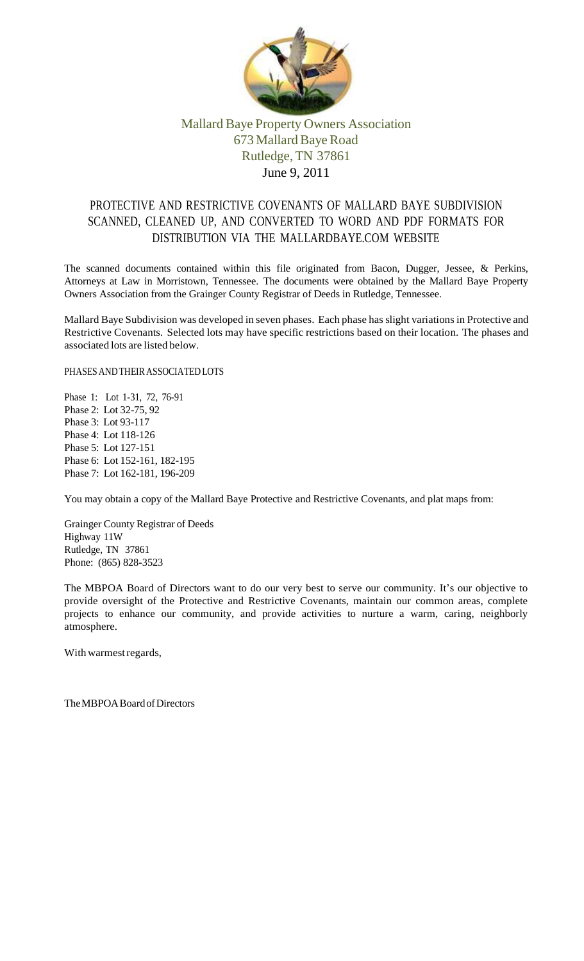

## Mallard Baye Property Owners Association 673 Mallard Baye Road Rutledge,TN 37861 June 9, 2011

### PROTECTIVE AND RESTRICTIVE COVENANTS OF MALLARD BAYE SUBDIVISION SCANNED, CLEANED UP, AND CONVERTED TO WORD AND PDF FORMATS FOR DISTRIBUTION VIA THE MALLARDBAYE.COM WEBSITE

The scanned documents contained within this file originated from Bacon, Dugger, Jessee, & Perkins, Attorneys at Law in Morristown, Tennessee. The documents were obtained by the Mallard Baye Property Owners Association from the Grainger County Registrar of Deeds in Rutledge, Tennessee.

Mallard Baye Subdivision was developed in seven phases. Each phase has slight variationsin Protective and Restrictive Covenants. Selected lots may have specific restrictions based on their location. The phases and associated lots are listed below.

PHASESAND THEIR ASSOCIATEDLOTS

Phase 1: Lot 1-31, 72, 76-91 Phase 2: Lot 32-75, 92 Phase 3: Lot 93-117 Phase 4: Lot 118-126 Phase 5: Lot 127-151 Phase 6: Lot 152-161, 182-195 Phase 7: Lot 162-181, 196-209

You may obtain a copy of the Mallard Baye Protective and Restrictive Covenants, and plat maps from:

Grainger County Registrar of Deeds Highway 11W Rutledge, TN 37861 Phone: (865) 828-3523

The MBPOA Board of Directors want to do our very best to serve our community. It's our objective to provide oversight of the Protective and Restrictive Covenants, maintain our common areas, complete projects to enhance our community, and provide activities to nurture a warm, caring, neighborly atmosphere.

With warmestregards,

TheMBPOABoardofDirectors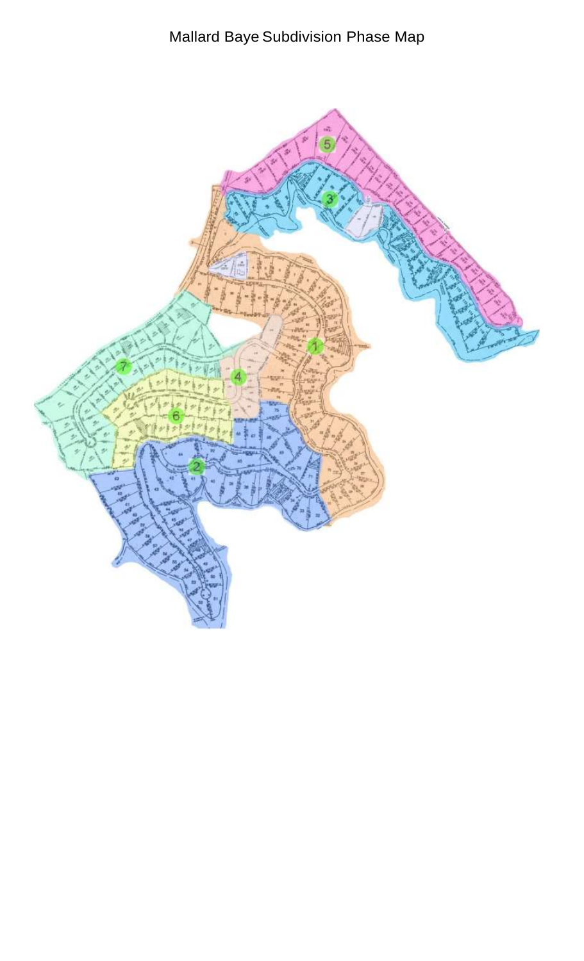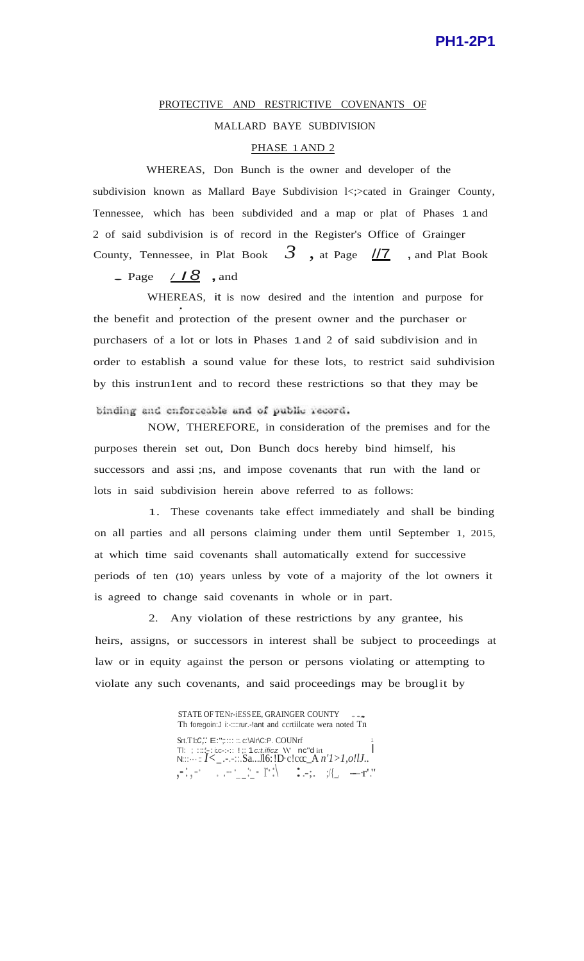### PROTECTIVE AND RESTRICTIVE COVENANTS OF MALLARD BAYE SUBDIVISION

#### PHASE 1AND 2

WHEREAS, Don Bunch is the owner and developer of the subdivision known as Mallard Baye Subdivision l<; > cated in Grainger County, Tennessee, which has been subdivided and a map or plat of Phases 1 and 2 of said subdivision is of record in the Register's Office of Grainger County, Tennessee, in Plat Book  $\hat{3}$ , at Page  $\frac{1}{7}$ , and Plat Book f said subdivision is of<br>anty, Tennessee, in Plat<br> $\overline{\phantom{a}}$  - Page  $\overline{\phantom{a}}$  / *I***8** , and

WHEREAS, it is now desired and the intention and purpose for .• the benefit and protection of the present owner and the purchaser or purchasers of a lot or lots in Phases 1and 2 of said subdivision and in order to establish a sound value for these lots, to restrict said suhdivision by this instrun1ent and to record these restrictions so that they may be binding and enforceable and of public record.

NOW, THEREFORE, in consideration of the premises and for the purposes therein set out, Don Bunch docs hereby bind himself, his successors and assi ;ns, and impose covenants that run with the land or lots in said subdivision herein above referred to as follows:

1. These covenants take effect immediately and shall be binding on all parties and all persons claiming under them until September 1, 2015, at which time said covenants shall automatically extend for successive periods of ten (10) years unless by vote of a majority of the lot owners it is agreed to change said covenants in whole or in part.

2. Any violation of these restrictions by any grantee, his heirs, assigns, or successors in interest shall be subject to proceedings at law or in equity against the person or persons violating or attempting to violate any such covenants, and said proceedings may be brouglit by

> STATE OF TENr-iESSEE, GRAINGER COUNTY Th foregoin:J i:-::::rur.-!ant and ccrtiilcate wera noted Tn Srt.T1:C;: E:";:::: ::. c:\Alr\C:P. COUNrf Tl: ; ::::'-:i:.c-:-:: !;: <sup>1</sup>*c:t.ificz* \\' nc''d irt I N:::···:: *I<\_* .-.-::.Sa...Jl6:!D·c!ccc\_A *n'1>1,o!lJ..*  $,\bar{\ }$  ,-:,- $\cdot$  ...- $\cdot$  ....  $\frac{1}{2}$  -  $\left| \frac{1}{2} \right|$   $\left| \frac{1}{2} \right|$   $\left| \frac{1}{2} \right|$   $\frac{1}{2}$   $\left| \frac{1}{2} \right|$   $\frac{1}{2}$   $\left| \frac{1}{2} \right|$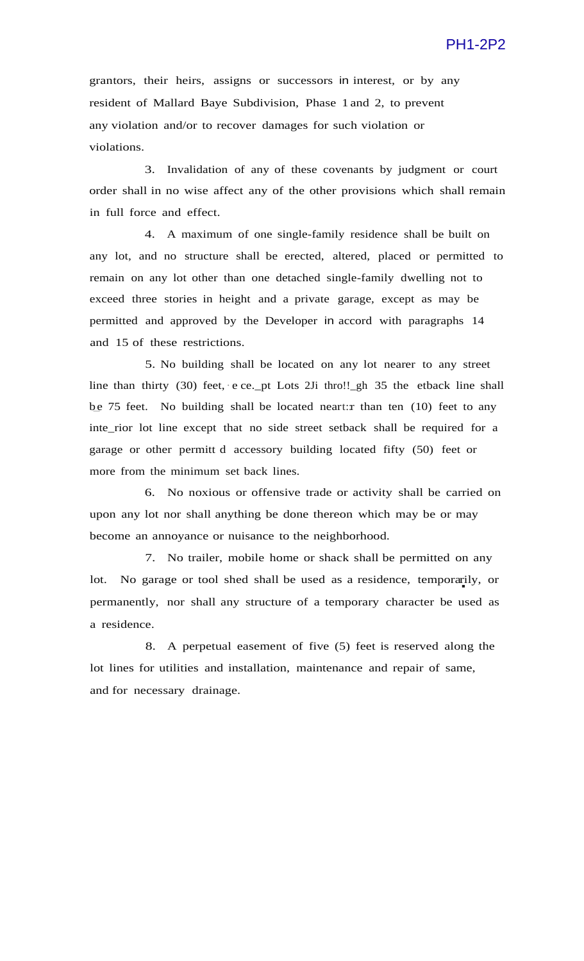grantors, their heirs, assigns or successors in interest, or by any resident of Mallard Baye Subdivision, Phase 1 and 2, to prevent any violation and/or to recover damages for such violation or violations.

3. Invalidation of any of these covenants by judgment or court order shall in no wise affect any of the other provisions which shall remain in full force and effect.

4. A maximum of one single-family residence shall be built on any lot, and no structure shall be erected, altered, placed or permitted to remain on any lot other than one detached single-family dwelling not to exceed three stories in height and a private garage, except as may be permitted and approved by the Developer in accord with paragraphs 14 and 15 of these restrictions.

5. No building shall be located on any lot nearer to any street line than thirty (30) feet, e ce.\_pt Lots 2Ji thro!!\_gh 35 the etback line shall be 75 feet. No building shall be located neart: $r$  than ten (10) feet to any inte\_rior lot line except that no side street setback shall be required for a garage or other permitt d accessory building located fifty (50) feet or more from the minimum set back lines.

6. No noxious or offensive trade or activity shall be carried on upon any lot nor shall anything be done thereon which may be or may become an annoyance or nuisance to the neighborhood.

7. No trailer, mobile home or shack shall be permitted on any lot. No garage or tool shed shall be used as a residence, temporarily, or permanently, nor shall any structure of a temporary character be used as a residence.

8. A perpetual easement of five (5) feet is reserved along the lot lines for utilities and installation, maintenance and repair of same, and for necessary drainage.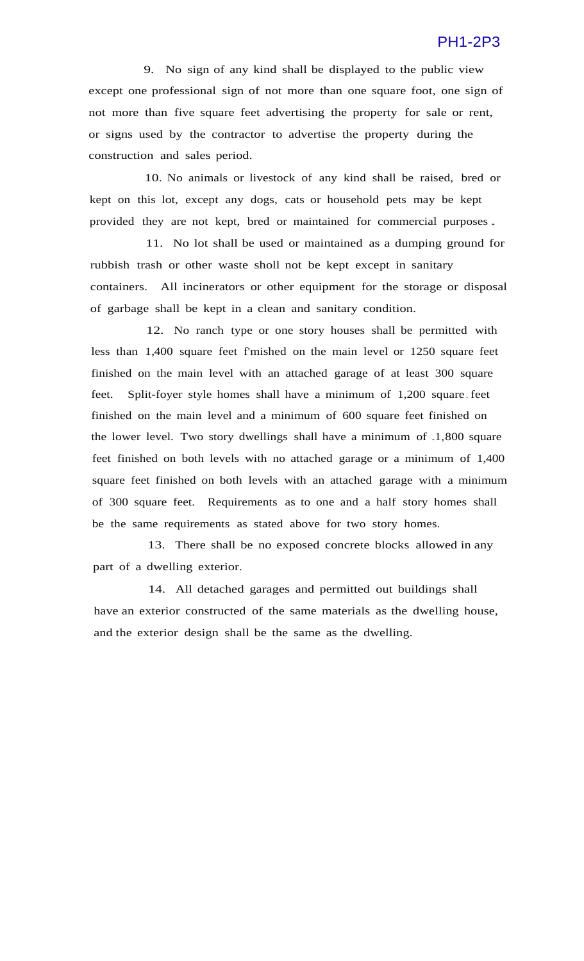#### PH1-2P3

9. No sign of any kind shall be displayed to the public view except one professional sign of not more than one square foot, one sign of not more than five square feet advertising the property for sale or rent, or signs used by the contractor to advertise the property during the construction and sales period.

10. No animals or livestock of any kind shall be raised, bred or kept on this lot, except any dogs, cats or household pets may be kept provided they are not kept, bred or maintained for commercial purposes .

11. No lot shall be used or maintained as a dumping ground for rubbish trash or other waste sholl not be kept except in sanitary containers. All incinerators or other equipment for the storage or disposal of garbage shall be kept in a clean and sanitary condition.

12. No ranch type or one story houses shall be permitted with less than 1,400 square feet f'mished on the main level or 1250 square feet finished on the main level with an attached garage of at least 300 square feet. Split-foyer style homes shall have a minimum of 1,200 square.feet finished on the main level and a minimum of 600 square feet finished on the lower level. Two story dwellings shall have a minimum of .1,800 square feet finished on both levels with no attached garage or a minimum of 1,400 square feet finished on both levels with an attached garage with a minimum of 300 square feet. Requirements as to one and a half story homes shall be the same requirements as stated above for two story homes.

13. There shall be no exposed concrete blocks allowed in any part of a dwelling exterior.

14. All detached garages and permitted out buildings shall have an exterior constructed of the same materials as the dwelling house, and the exterior design shall be the same as the dwelling.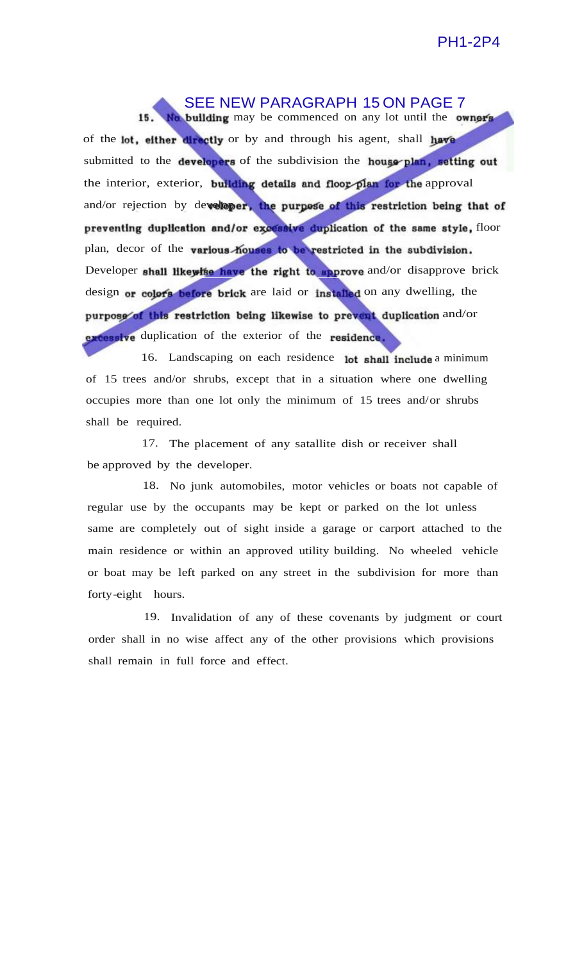### SEE NEW PARAGRAPH 15 ON PAGE 7

No building may be commenced on any lot until the owner's 15. of the lot, either directly or by and through his agent, shall have submitted to the developers of the subdivision the house plan, setting out the interior, exterior, building details and floor plan for the approval and/or rejection by developer, the purpose of this restriction being that of preventing duplication and/or excessive duplication of the same style, floor plan, decor of the various houses to be restricted in the subdivision. Developer shall likewise have the right to upprove and/or disapprove brick design or colors before brick are laid or installed on any dwelling, the purpose of this restriction being likewise to prevent duplication and/or excessive duplication of the exterior of the residence.

16. Landscaping on each residence lot shall include a minimum of 15 trees and/or shrubs, except that in a situation where one dwelling occupies more than one lot only the minimum of 15 trees and/or shrubs shall be required.

17. The placement of any satallite dish or receiver shall be approved by the developer.

18. No junk automobiles, motor vehicles or boats not capable of regular use by the occupants may be kept or parked on the lot unless same are completely out of sight inside a garage or carport attached to the main residence or within an approved utility building. No wheeled vehicle or boat may be left parked on any street in the subdivision for more than forty-eight hours.

19. Invalidation of any of these covenants by judgment or court order shall in no wise affect any of the other provisions which provisions shall remain in full force and effect.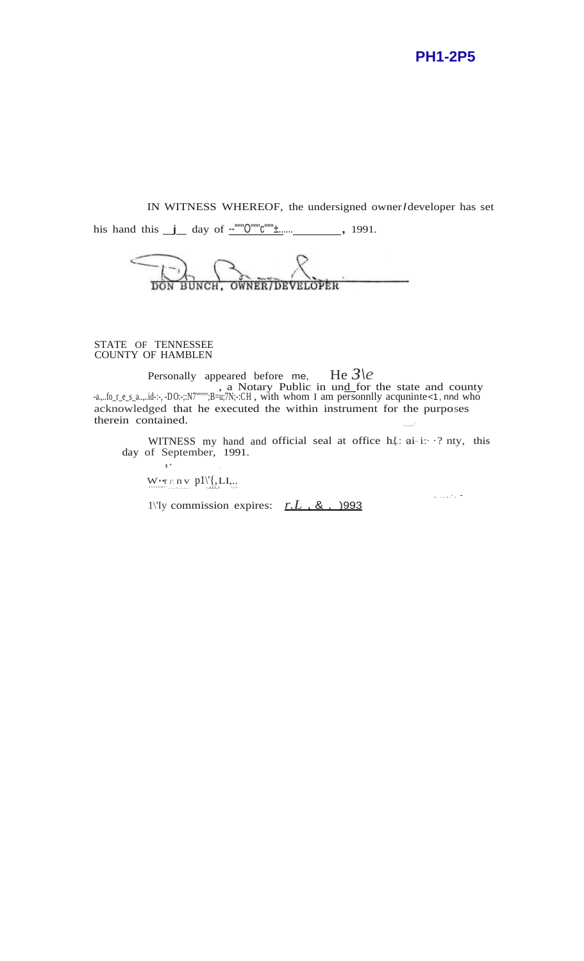. ....·. -

IN WITNESS WHEREOF, the undersigned owner*I*developer has set

his hand this  $j_$  day of  $\frac{--""}{--}$  down  $\frac{--""}{--}$ , 1991.

OWNER/DEVELOPER BUNCH.

STATE OF TENNESSEE COUNTY OF HAMBLEN

Personally appeared before me, He *3\e* , a Notary Public in und for the state and county -a.,..fo\_r\_e\_s\_a..,..id-:-, -D O:-;:N7"""";B=u;7N;-:CH, with whom I am personnlly acquninte<1, nnd who acknowledged that he executed the within instrument for the purposes therein contained. *.......·:*

WITNESS my hand and official seal at office  $h$ {:  $ai-i$ : ·? nty, this day of September, 1991.

W••r *1'*. n v p1\'{,LI,...

1\'Iy commission expires: *r.L ,* & , )993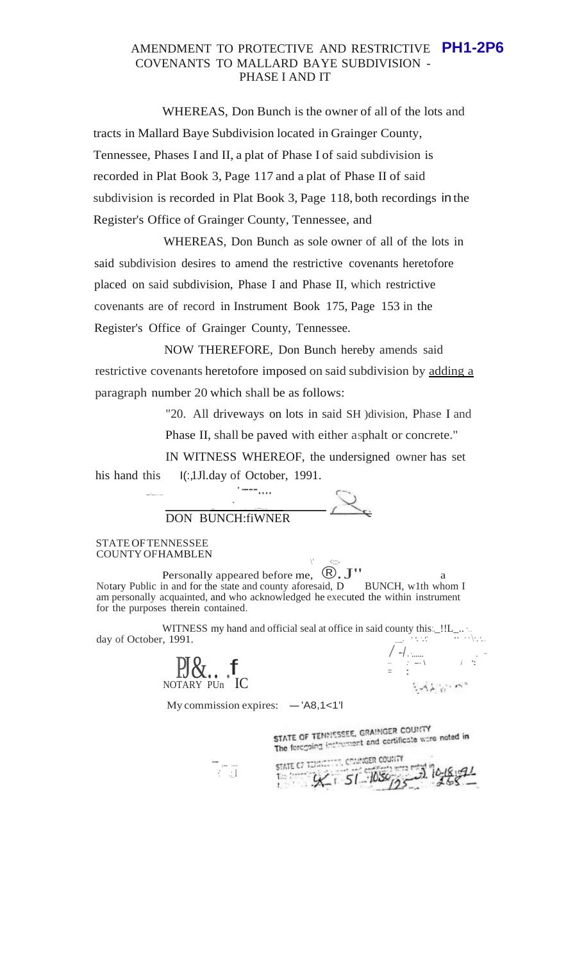#### AMENDMENT TO PROTECTIVE AND RESTRICTIVE **PH1-2P6** COVENANTS TO MALLARD BAYE SUBDIVISION - PHASE I AND IT

WHEREAS, Don Bunch is the owner of all of the lots and tracts in Mallard Baye Subdivision located in Grainger County, Tennessee, Phases I and II, a plat of Phase I of said subdivision is recorded in Plat Book 3, Page 117 and a plat of Phase II of said subdivision is recorded in Plat Book 3, Page 118, both recordings in the Register's Office of Grainger County, Tennessee, and

WHEREAS, Don Bunch as sole owner of all of the lots in said subdivision desires to amend the restrictive covenants heretofore placed on said subdivision, Phase I and Phase II, which restrictive covenants are of record in Instrument Book 175, Page 153 in the Register's Office of Grainger County, Tennessee.

NOW THEREFORE, Don Bunch hereby amends said restrictive covenants heretofore imposed on said subdivision by adding a paragraph number 20 which shall be as follows:

> "20. All driveways on lots in said SH )division, Phase I and Phase II, shall be paved with either asphalt or concrete."

> > \' <:::-

IN WITNESS WHEREOF, the undersigned owner has set his hand this I(:,1Jl.day of October, 1991.

 $\cdot$  ---- $\cdot$ ... '> - ·-"-- DON BUNCH:fiWNER

#### STATE OFTENNESSEE COUNTYOFHAMBLEN

Personally appeared before me,  $\mathbb{R}$ ,  $J''$  a<br>in and for the state and county aforesaid, D BUNCH, w1th whom I Notary Public in and for the state and county aforesaid, D am personally acquainted, and who acknowledged he executed the within instrument for the purposes therein contained.

WITNESS my hand and official seal at office in said county this:.\_!!L\_... day of October, 1991. \_\_. · ·. *·..·:* ·· ··\·.·.. / -·/.·...... . -

PJ&.. . f NOTARY PUn IC

My commission expires:  $-$ 'A8,1<1'l

STATE OF TENNISSEE, GRAINGER COUNTY STATE OF TENNISSEE, GRAINGER COURTY<br>The foregoing instrument and cortificate were noted in STATE C7 TEXAS COUNCER COUNTY

-· *:* ·-·\ *<sup>i</sup>*':

*<sup>=</sup>* :

 $46.51 - 1050, 35 - 31048, 71$ 

-- ,... ....  $\left\{ \quad \pm 1 \right.$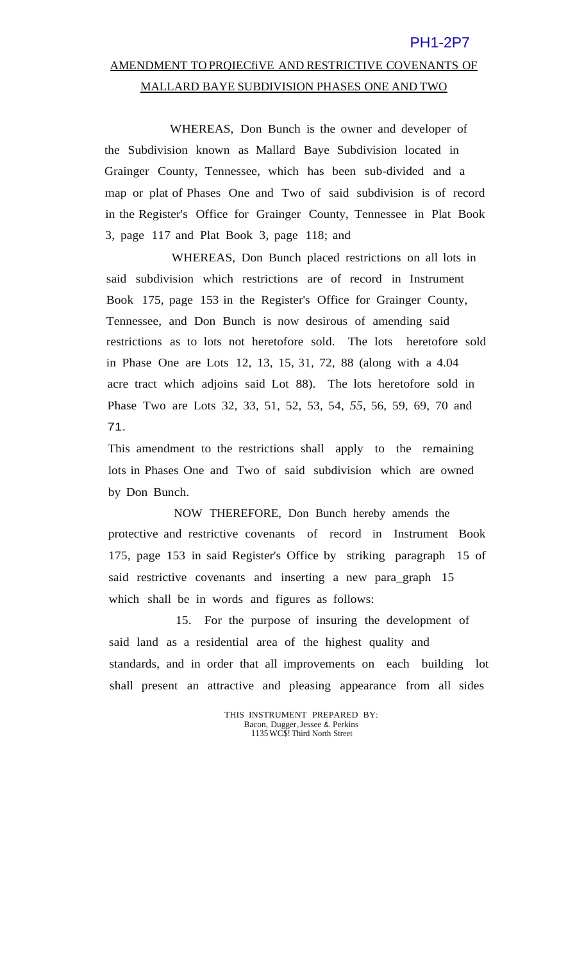# PH1-2P7 AMENDMENT TO PRQIECfiVE AND RESTRICTIVE COVENANTS OF MALLARD BAYE SUBDIVISION PHASES ONE AND TWO

WHEREAS, Don Bunch is the owner and developer of the Subdivision known as Mallard Baye Subdivision located in Grainger County, Tennessee, which has been sub-divided and a map or plat of Phases One and Two of said subdivision is of record in the Register's Office for Grainger County, Tennessee in Plat Book 3, page 117 and Plat Book 3, page 118; and

WHEREAS, Don Bunch placed restrictions on all lots in said subdivision which restrictions are of record in Instrument Book 175, page 153 in the Register's Office for Grainger County, Tennessee, and Don Bunch is now desirous of amending said restrictions as to lots not heretofore sold. The lots heretofore sold in Phase One are Lots 12, 13, 15, 31, 72, 88 (along with a 4.04 acre tract which adjoins said Lot 88). The lots heretofore sold in Phase Two are Lots 32, 33, 51, 52, 53, 54, *55,* 56, 59, 69, 70 and 71.

This amendment to the restrictions shall apply to the remaining lots in Phases One and Two of said subdivision which are owned by Don Bunch.

NOW THEREFORE, Don Bunch hereby amends the protective and restrictive covenants of record in Instrument Book 175, page 153 in said Register's Office by striking paragraph 15 of said restrictive covenants and inserting a new para\_graph 15 which shall be in words and figures as follows:

15. For the purpose of insuring the development of said land as a residential area of the highest quality and standards, and in order that all improvements on each building lot shall present an attractive and pleasing appearance from all sides

> THIS INSTRUMENT PREPARED BY: Bacon, Dugger,Jessee &. Perkins 1135WC\$! Third North Street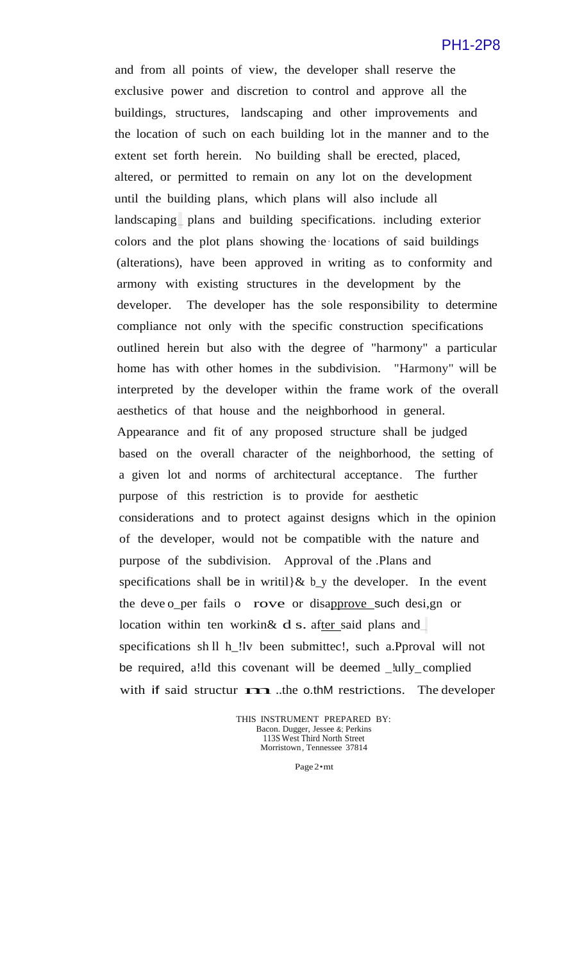and from all points of view, the developer shall reserve the exclusive power and discretion to control and approve all the buildings, structures, landscaping and other improvements and the location of such on each building lot in the manner and to the extent set forth herein. No building shall be erected, placed, altered, or permitted to remain on any lot on the development until the building plans, which plans will also include all landscaping \_ plans and building specifications. including exterior colors and the plot plans showing the·locations of said buildings (alterations), have been approved in writing as to conformity and armony with existing structures in the development by the developer. The developer has the sole responsibility to determine compliance not only with the specific construction specifications outlined herein but also with the degree of "harmony" a particular home has with other homes in the subdivision. "Harmony" will be interpreted by the developer within the frame work of the overall aesthetics of that house and the neighborhood in general. Appearance and fit of any proposed structure shall be judged based on the overall character of the neighborhood, the setting of a given lot and norms of architectural acceptance. The further purpose of this restriction is to provide for aesthetic considerations and to protect against designs which in the opinion of the developer, would not be compatible with the nature and purpose of the subdivision. Approval of the .Plans and specifications shall be in writil  $\& b_y$  the developer. In the event the deve o\_per fails o rove or disapprove such desi,gn or location within ten workin& d s. after said plans and specifications sh ll h\_!lv been submittec!, such a.Pproval will not be required, a!ld this covenant will be deemed \_\ully\_complied with if said structur  $m$ ..the o.thM restrictions. The developer

> THIS INSTRUMENT PREPARED BY: Bacon. Dugger, Jessee &; Perkins 113S West Third North Street Morristown, Tennessee 37814

> > Page2•mt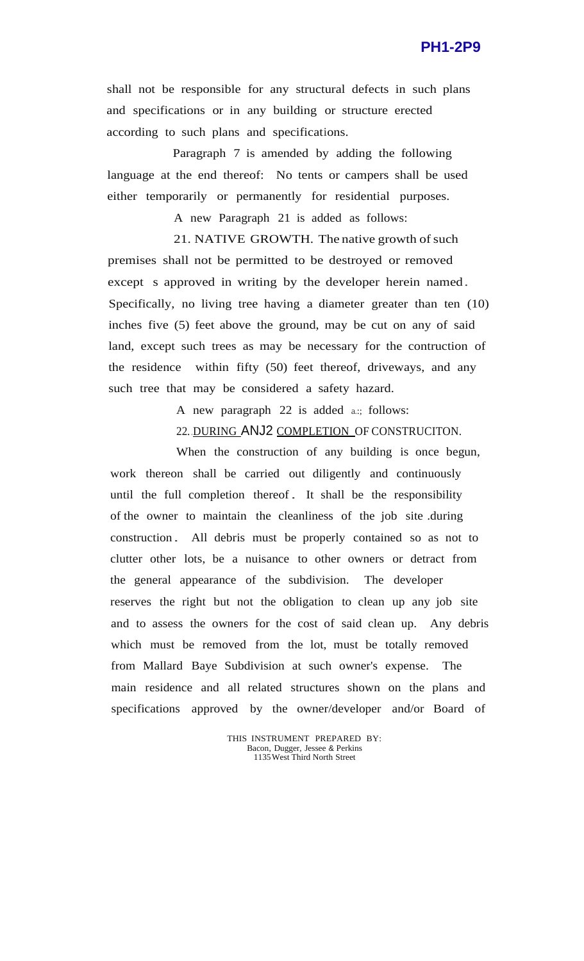#### **PH1-2P9**

shall not be responsible for any structural defects in such plans and specifications or in any building or structure erected according to such plans and specifications.

Paragraph 7 is amended by adding the following language at the end thereof: No tents or campers shall be used either temporarily or permanently for residential purposes.

A new Paragraph 21 is added as follows:

21. NATIVE GROWTH. The native growth of such premises shall not be permitted to be destroyed or removed except s approved in writing by the developer herein named. Specifically, no living tree having a diameter greater than ten (10) inches five (5) feet above the ground, may be cut on any of said land, except such trees as may be necessary for the contruction of the residence within fifty (50) feet thereof, driveways, and any such tree that may be considered a safety hazard.

A new paragraph 22 is added a.:; follows:

22..DURING ANJ2 COMPLETION OF CONSTRUCITON.

When the construction of any building is once begun, work thereon shall be carried out diligently and continuously until the full completion thereof. It shall be the responsibility of the owner to maintain the cleanliness of the job site .during construction . All debris must be properly contained so as not to clutter other lots, be a nuisance to other owners or detract from the general appearance of the subdivision. The developer reserves the right but not the obligation to clean up any job site and to assess the owners for the cost of said clean up. Any debris which must be removed from the lot, must be totally removed from Mallard Baye Subdivision at such owner's expense. The main residence and all related structures shown on the plans and specifications approved by the owner/developer and/or Board of

> THIS INSTRUMENT PREPARED BY: Bacon, Dugger, Jessee & Perkins 1135West Third North Street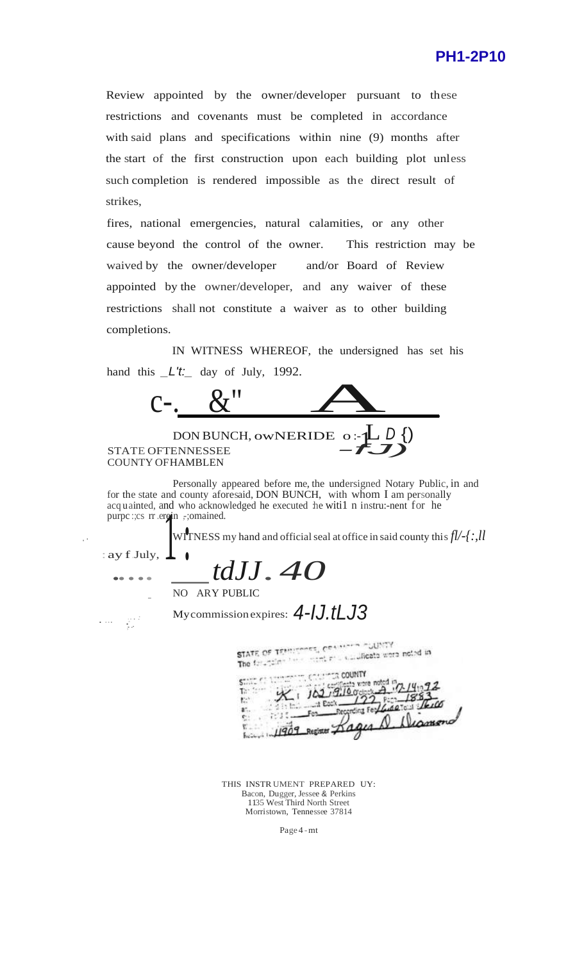Review appointed by the owner/developer pursuant to these restrictions and covenants must be completed in accordance with said plans and specifications within nine (9) months after the start of the first construction upon each building plot unless such completion is rendered impossible as the direct result of strikes,

fires, national emergencies, natural calamities, or any other cause beyond the control of the owner. This restriction may be waived by the owner/developer and/or Board of Review appointed by the owner/developer, and any waiver of these restrictions shall not constitute a waiver as to other building completions.

IN WITNESS WHEREOF, the undersigned has set his hand this  $\angle L't$ : day of July, 1992.

ons.<br>
IN WITNESS WHEREOF, the undersigned has se<br>  $s \perp' t$ : day of July, 1992.<br>  $C$ -.  $\mathcal{X}''$ 

DON BUNCH, owNERIDE o :-L *<sup>D</sup>* {) DON BUNCH, owNERIDE **o** :- **L** D { COUNTY OFHAMBLEN

Personally appeared before me, the undersigned Notary Public, in and for the state and county aforesaid, DON BUNCH, with whom I am personally acq uainted, and who acknowledged he executed he witi1 n instru:-nent for he purpc :;cs rr.erein -;omained.

 $\mathbf{1}_{\text{avg}}$  : ay f July,  $\mathbf{1}_{\text{avg}}$  with  $\mathbf{1}_{\text{avg}}$  and and official seal at office in said county this  $\mathbf{1}_{\text{avg}}$ . : ay f.July,

..... *\_tdJJ.40*

NO ARY PUBLIC

.· .• ..  $\cdot \cdot \cdot \cdot \frac{\cdot}{\cdot}$ 

-

Mycommission expires: **4-IJ.tLJ3** 

| STATE OF<br>The forundation | m before etew cfealing          |
|-----------------------------|---------------------------------|
|                             | <b>R COUNTY</b><br>.92          |
|                             | Recording Feed<br>sizer Kager N |

THIS INSTR UMENT PREPARED UY: Bacon, Dugger, Jessee & Perkins 1135 West Third North Street Morristown, Tennessee 37814

Page4 -mt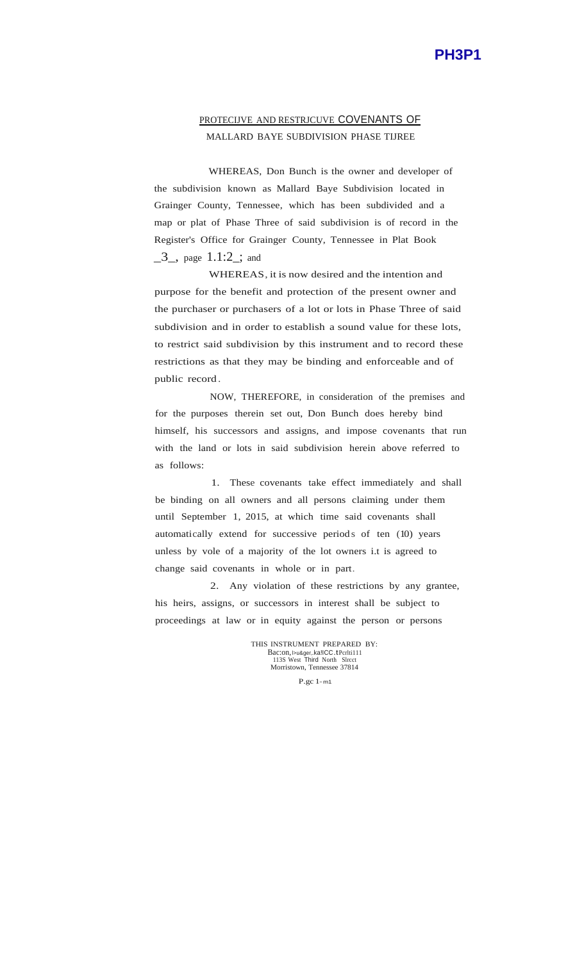# **PH3P1**

#### PROTECIJVE AND RESTRJCUVE COVENANTS OF MALLARD BAYE SUBDIVISION PHASE TIJREE

WHEREAS, Don Bunch is the owner and developer of the subdivision known as Mallard Baye Subdivision located in Grainger County, Tennessee, which has been subdivided and a map or plat of Phase Three of said subdivision is of record in the Register's Office for Grainger County, Tennessee in Plat Book  $-3$ , page 1.1:2<sub>, and</sub>

WHEREAS, it is now desired and the intention and purpose for the benefit and protection of the present owner and the purchaser or purchasers of a lot or lots in Phase Three of said subdivision and in order to establish a sound value for these lots, to restrict said subdivision by this instrument and to record these restrictions as that they may be binding and enforceable and of public record.

NOW, THEREFORE, in consideration of the premises and for the purposes therein set out, Don Bunch does hereby bind himself, his successors and assigns, and impose covenants that run with the land or lots in said subdivision herein above referred to as follows:

1. These covenants take effect immediately and shall be binding on all owners and all persons claiming under them until September 1, 2015, at which time said covenants shall automatically extend for successive periods of ten (10) years unless by vole of a majority of the lot owners i.t is agreed to change said covenants in whole or in part.

2. Any violation of these restrictions by any grantee, his heirs, assigns, or successors in interest shall be subject to proceedings at law or in equity against the person or persons

> THIS INSTRUMENT PREPARED BY: Bac:on, l>u&ger,.ka!ICC.tPcrlti111 113S West Third North Slrcct Morristown, Tennessee 37814

> > P.gc 1-m1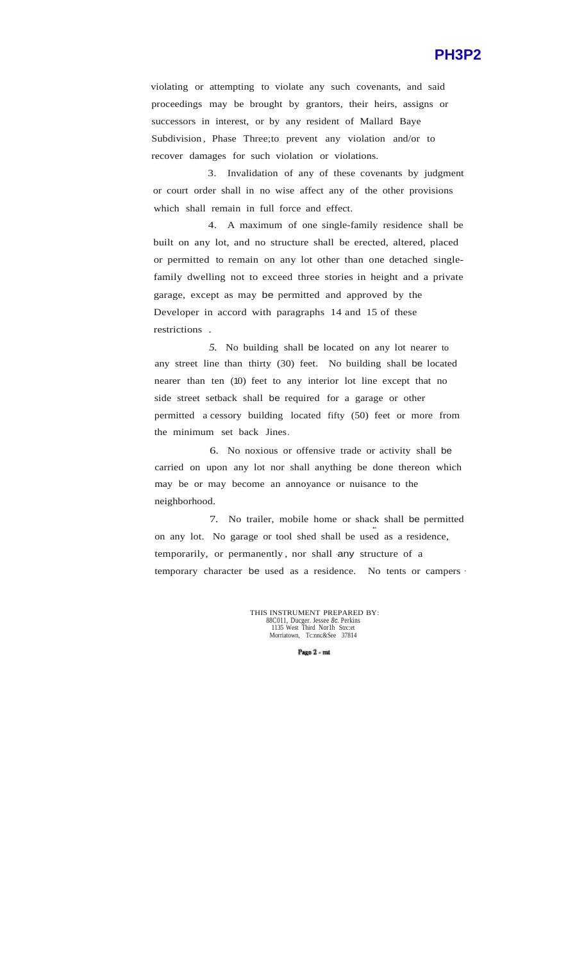### **PH3P2**

violating or attempting to violate any such covenants, and said proceedings may be brought by grantors, their heirs, assigns or successors in interest, or by any resident of Mallard Baye Subdivision, Phase Three;to prevent any violation and/or to recover damages for such violation or violations.

3. Invalidation of any of these covenants by judgment or court order shall in no wise affect any of the other provisions which shall remain in full force and effect.

4. A maximum of one single-family residence shall be built on any lot, and no structure shall be erected, altered, placed or permitted to remain on any lot other than one detached singlefamily dwelling not to exceed three stories in height and a private garage, except as may be permitted and approved by the Developer in accord with paragraphs 14 and 15 of these restrictions .

*5.* No building shall be located on any lot nearer to any street line than thirty (30) feet. No building shall be located nearer than ten (10) feet to any interior lot line except that no side street setback shall be required for a garage or other permitted a cessory building located fifty (50) feet or more from the minimum set back Jines.

6. No noxious or offensive trade or activity shall be carried on upon any lot nor shall anything be done thereon which may be or may become an annoyance or nuisance to the neighborhood.

7. No trailer, mobile home or shack shall be permitted on any lot. No garage or tool shed shall be used as a residence, temporarily, or permanently, nor shall any structure of a temporary character be used as a residence. No tents or campers ·

> THIS INSTRUMENT PREPARED BY: 88C011, Ducger. Jessee *8c.* Perkins 1135 West Third Nor1h Strc:et Morriatown, Tc:nnc&See 37814

> > Page 2 - mt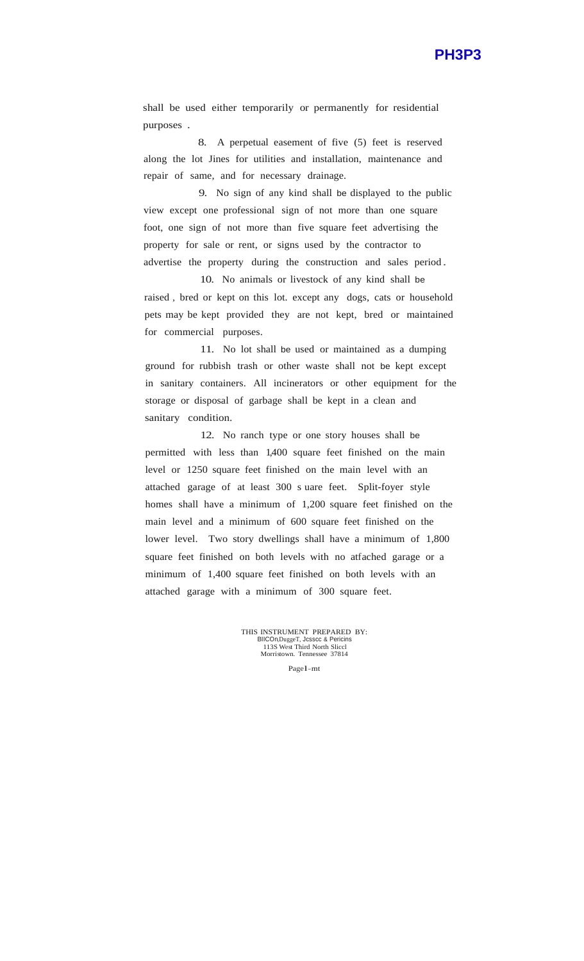

shall be used either temporarily or permanently for residential purposes .

8. A perpetual easement of five (5) feet is reserved along the lot Jines for utilities and installation, maintenance and repair of same, and for necessary drainage.

9. No sign of any kind shall be displayed to the public view except one professional sign of not more than one square foot, one sign of not more than five square feet advertising the property for sale or rent, or signs used by the contractor to advertise the property during the construction and sales period .

10. No animals or livestock of any kind shall be raised , bred or kept on this lot. except any dogs, cats or household pets may be kept provided they are not kept, bred or maintained for commercial purposes.

11. No lot shall be used or maintained as a dumping ground for rubbish trash or other waste shall not be kept except in sanitary containers. All incinerators or other equipment for the storage or disposal of garbage shall be kept in a clean and sanitary condition.

12. No ranch type or one story houses shall be permitted with less than 1,400 square feet finished on the main level or 1250 square feet finished on the main level with an attached garage of at least 300 s uare feet. Split-foyer style homes shall have a minimum of 1,200 square feet finished on the main level and a minimum of 600 square feet finished on the lower level. Two story dwellings shall have a minimum of 1,800 square feet finished on both levels with no atfached garage or a minimum of 1,400 square feet finished on both levels with an attached garage with a minimum of 300 square feet.

> THIS INSTRUMENT PREPARED BY: BIICOn,DuggeT, Jcsscc & Pericins 113S West Third North Sliccl Morristown. Tennessee 37814

> > Pagel-mt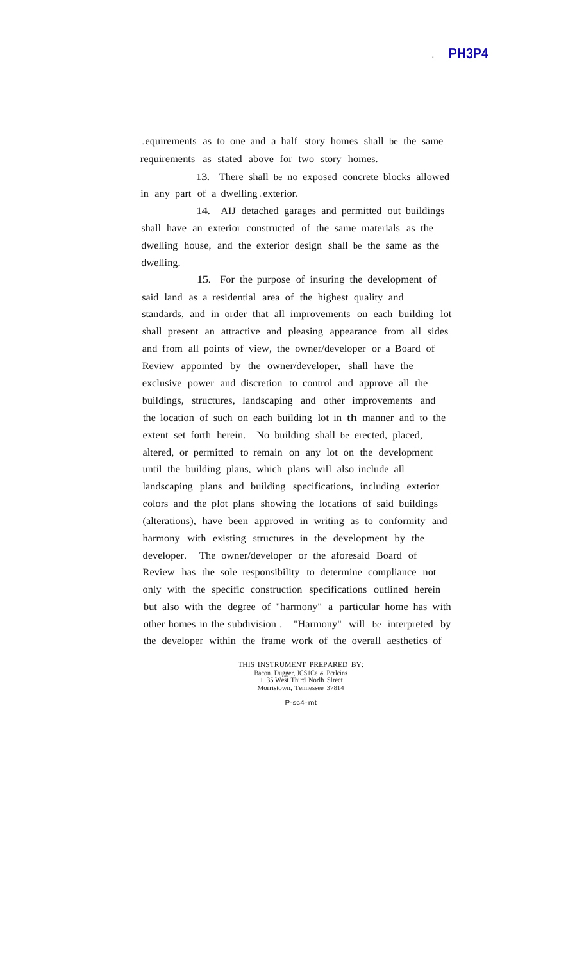

.equirements as to one and a half story homes shall be the same requirements as stated above for two story homes.

13. There shall be no exposed concrete blocks allowed in any part of a dwelling . exterior.

14. AIJ detached garages and permitted out buildings shall have an exterior constructed of the same materials as the dwelling house, and the exterior design shall be the same as the dwelling.

15. For the purpose of insuring the development of said land as a residential area of the highest quality and standards, and in order that all improvements on each building lot shall present an attractive and pleasing appearance from all sides and from all points of view, the owner/developer or a Board of Review appointed by the owner/developer, shall have the exclusive power and discretion to control and approve all the buildings, structures, landscaping and other improvements and the location of such on each building lot in th manner and to the extent set forth herein. No building shall be erected, placed, altered, or permitted to remain on any lot on the development until the building plans, which plans will also include all landscaping plans and building specifications, including exterior colors and the plot plans showing the locations of said buildings (alterations), have been approved in writing as to conformity and harmony with existing structures in the development by the developer. The owner/developer or the aforesaid Board of Review has the sole responsibility to determine compliance not only with the specific construction specifications outlined herein but also with the degree of "harmony" a particular home has with other homes in the subdivision . "Harmony" will be interpreted by the developer within the frame work of the overall aesthetics of

> THIS INSTRUMENT PREPARED BY: Bacon. Dugger, JCS1Ce &. Pcrlcins 1135 West Third Norlh Slrect Morristown, Tennessee 37814

> > P-sc4-mt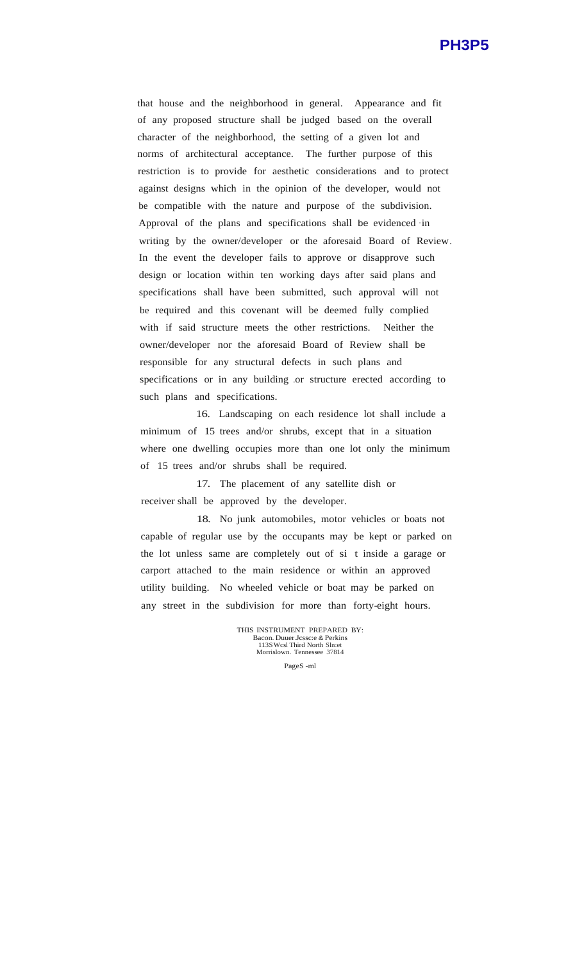### **PH3P5**

that house and the neighborhood in general. Appearance and fit of any proposed structure shall be judged based on the overall character of the neighborhood, the setting of a given lot and norms of architectural acceptance. The further purpose of this restriction is to provide for aesthetic considerations and to protect against designs which in the opinion of the developer, would not be compatible with the nature and purpose of the subdivision. Approval of the plans and specifications shall be evidenced ·in writing by the owner/developer or the aforesaid Board of Review. In the event the developer fails to approve or disapprove such design or location within ten working days after said plans and specifications shall have been submitted, such approval will not be required and this covenant will be deemed fully complied with if said structure meets the other restrictions. Neither the owner/developer nor the aforesaid Board of Review shall be responsible for any structural defects in such plans and specifications or in any building .or structure erected according to such plans and specifications.

16. Landscaping on each residence lot shall include a minimum of 15 trees and/or shrubs, except that in a situation where one dwelling occupies more than one lot only the minimum of 15 trees and/or shrubs shall be required.

17. The placement of any satellite dish or receiver shall be approved by the developer.

18. No junk automobiles, motor vehicles or boats not capable of regular use by the occupants may be kept or parked on the lot unless same are completely out of si t inside a garage or carport attached to the main residence or within an approved utility building. No wheeled vehicle or boat may be parked on any street in the subdivision for more than forty-eight hours.

> THIS INSTRUMENT PREPARED BY: Bacon. Duuer.Jcssc:e & Perkins 113SWcsl Third North Sln:et Morrislown. Tennessee 37814

> > PageS -ml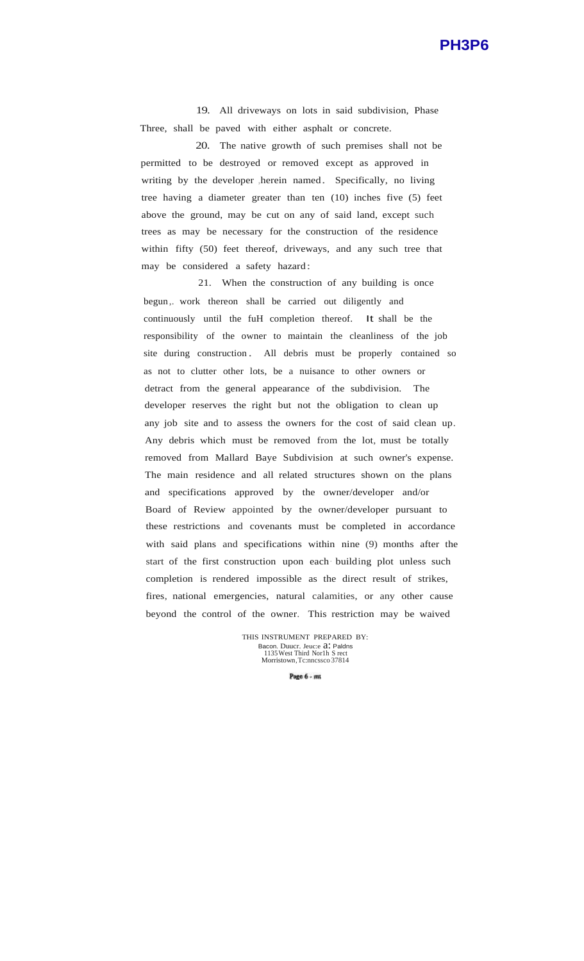19. All driveways on lots in said subdivision, Phase Three, shall be paved with either asphalt or concrete.

20. The native growth of such premises shall not be permitted to be destroyed or removed except as approved in writing by the developer ,herein named. Specifically, no living tree having a diameter greater than ten (10) inches five (5) feet above the ground, may be cut on any of said land, except such trees as may be necessary for the construction of the residence within fifty (50) feet thereof, driveways, and any such tree that may be considered a safety hazard:

21. When the construction of any building is once begun,. work thereon shall be carried out diligently and continuously until the fuH completion thereof. It shall be the responsibility of the owner to maintain the cleanliness of the job site during construction . All debris must be properly contained so as not to clutter other lots, be a nuisance to other owners or detract from the general appearance of the subdivision. The developer reserves the right but not the obligation to clean up any job site and to assess the owners for the cost of said clean up. Any debris which must be removed from the lot, must be totally removed from Mallard Baye Subdivision at such owner's expense. The main residence and all related structures shown on the plans and specifications approved by the owner/developer and/or Board of Review appointed by the owner/developer pursuant to these restrictions and covenants must be completed in accordance with said plans and specifications within nine (9) months after the start of the first construction upon each· building plot unless such completion is rendered impossible as the direct result of strikes, fires, national emergencies, natural calamities, or any other cause beyond the control of the owner. This restriction may be waived

> THIS INSTRUMENT PREPARED BY: Bacon. Duucr. Jeuc:e **a:** Paldns<br>1135 West Third Nor1h S rect Morristown,Tc:nncssco 37814

> > Page 6 - mt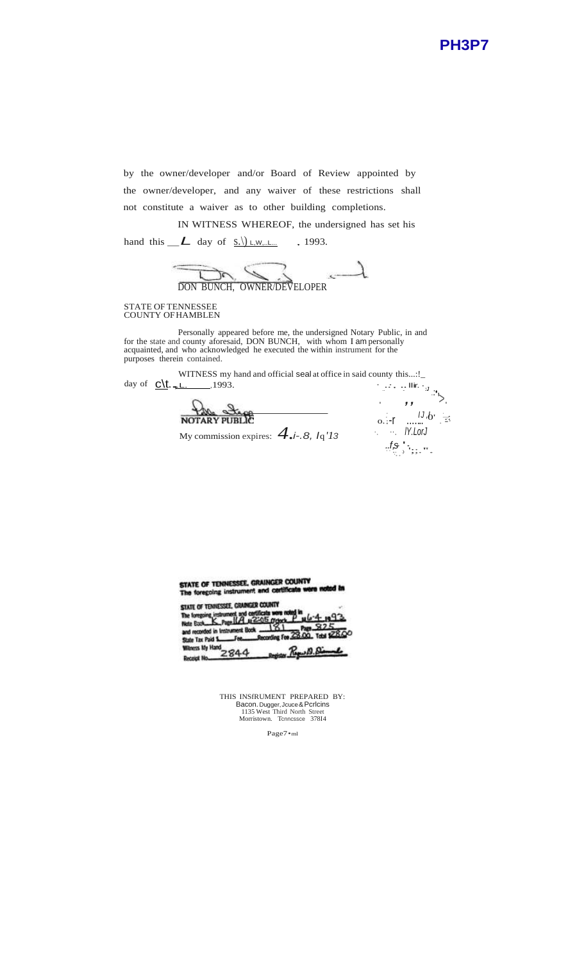

by the owner/developer and/or Board of Review appointed by the owner/developer, and any waiver of these restrictions shall not constitute a waiver as to other building completions.

IN WITNESS WHEREOF, the undersigned has set his hand this  $\angle L$  day of  $\underline{s}.\underline{\) \bot, w, \bot ...}$ , 1993.

DON BUNCH, OWNER/DEVELOPER

#### STATE OF TENNESSEE COUNTY OFHAMBLEN

Personally appeared before me, the undersigned Notary Public, in and for the state and county aforesaid, DON BUNCH, with whom I am personally acquainted, and who acknowledged he executed the within instrument for the purposes therein contained.

WITNESS my hand and official seal at office in said county this...:!\_ day of c\t...,.L. ,1993. · ..· ..llir.·

 $\frac{Q_{\text{max}}}{\text{NOTARY PUBLIC}}$ <br>My commission expires:  $4.1 - .8$ ,  $Iq'13$ 

..:• .. ' . *:J i*. *j*-f ........ *I*<sup>*j*</sup>,*b* ..... 2. ·.. . *.* · *.* · *f,* . *s* . *-* ' ) · ';;.''.. *,,* '>. ·. ··. *lY.LorJ*

STATE OF TENNESSEE, GRAINGER COUNTY STATE OF TENNESSEE, GRANDGER<br>The foregoing instrument and certi

#### STATE OF TENNESSEE, GRAINGER COUNTY

et and certificate were<br>et and certificate were<br>- LA n 2:05 mg/ Note Back and recorded in In et Book voing Fee 22 State Tax Paid \$ **Witness My Hard** Rend D.D. 2844 **Receipt N** 

> THIS INSfRUMENT PREPARED BY: Bacon. Dugger,Jcuce&Pcrlcins 1135 West Third North Street Morristown. Tcnncssce 378I4

> > Page7•ml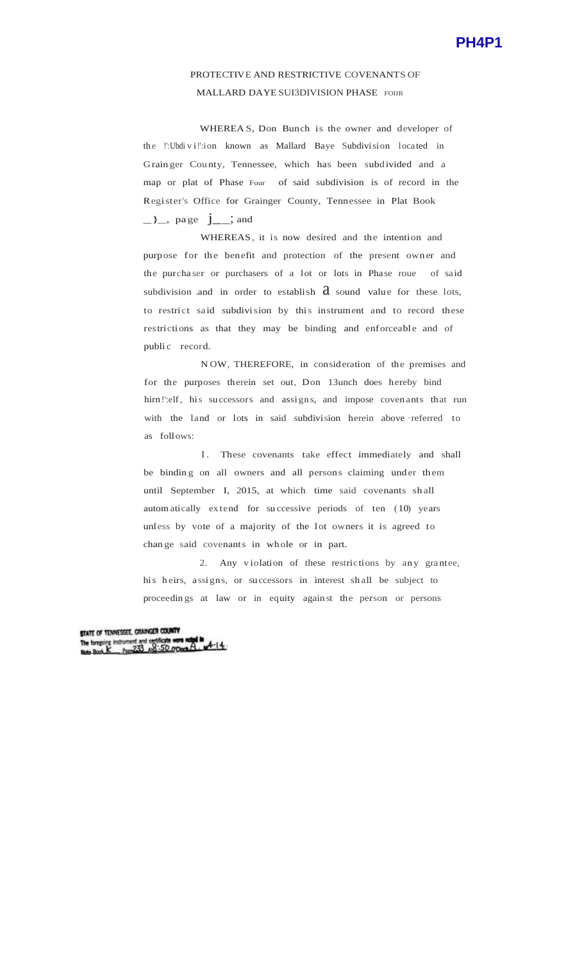#### PROTECTIVE AND RESTRICTIVE COVENANTS OF MALLARD DAYE SUI3DIVISION PHASE FOIIR

WHEREA S, Don Bunch is the owner and developer of the !':Ubdivi!':ion known as Mallard Baye Subdivision located in Grain ger Cou nty, Tennessee, which has been subdivided and a map or plat of Phase Four of said subdivision is of record in the Register's Office for Grainger County, Tennessee in Plat Book  $\_\$ ., page  $\_\_\_\$  ; and

WHEREAS, it is now desired and the intention and purpose for the benefit and protection of the present owner and the purchaser or purchasers of a lot or lots in Phase roue of said subdivision .and in order to establish  $\alpha$  sound value for these lots, to restrict said subdivision by this instrument and to record these restrictions as that they may be binding and enforceable and of public record.

N OW, THEREFORE, in consideration of the premises and for the purposes therein set out, Don 13unch does hereby bind hirn !':elf, his successors and assigns, and impose coven ants that run with the land or lots in said subdivision herein above ·referred to as follows:

1. These covenants take effect immediately and shall be binding on all owners and all persons claiming under them until September I, 2015, at which time said covenants sh all autom atically extend for successive periods of ten (10) years unless by vote of a majority of the lot owners it is agreed to chan ge said covenants in whole or in part.

2. Any violation of these restrictions by any grantee, his heirs, assigns, or successors in interest shall be subject to proceedin gs at law or in equity again st the person or persons

STATE OF TENNESSEE, GRAINGER COUNTY ent and certificate were noted =<br>233 und :50 protect A . w4-14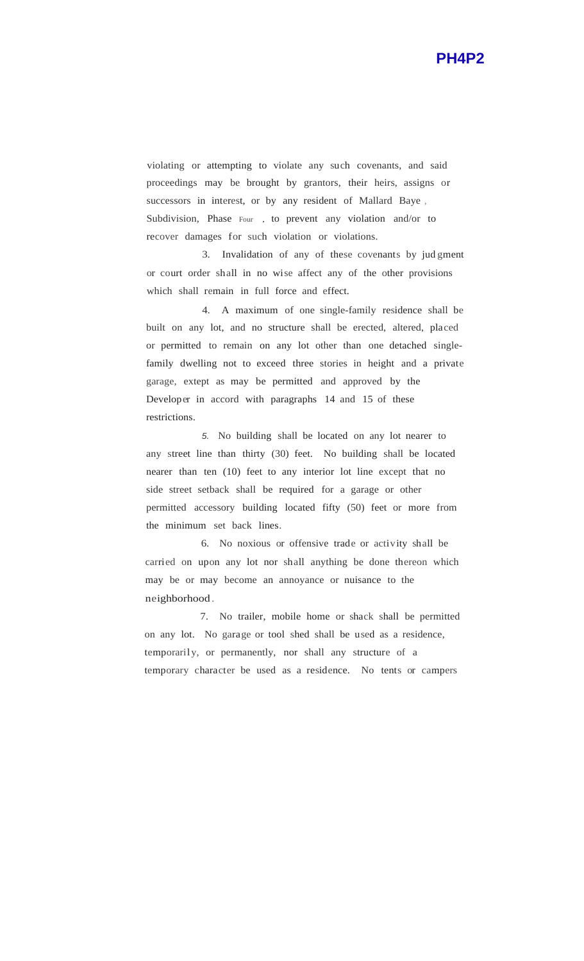violating or attempting to violate any such covenants, and said proceedings may be brought by grantors, their heirs, assigns or successors in interest, or by any resident of Mallard Baye , Subdivision, Phase Four , to prevent any violation and/or to recover damages for such violation or violations.

3. Invalidation of any of these covenants by jud gment or court order shall in no wise affect any of the other provisions which shall remain in full force and effect.

4. A maximum of one single-family residence shall be built on any lot, and no structure shall be erected, altered, placed or permitted to remain on any lot other than one detached singlefamily dwelling not to exceed three stories in height and a private garage, extept as may be permitted and approved by the Developer in accord with paragraphs 14 and 15 of these restrictions.

*5.* No building shall be located on any lot nearer to any street line than thirty (30) feet. No building shall be located nearer than ten (10) feet to any interior lot line except that no side street setback shall be required for a garage or other permitted accessory building located fifty (50) feet or more from the minimum set back lines.

6. No noxious or offensive trade or activity shall be carried on upon any lot nor shall anything be done thereon which may be or may become an annoyance or nuisance to the neighborhood .

7. No trailer, mobile home or shack shall be permitted on any lot. No garage or tool shed shall be used as a residence, temporarily, or permanently, nor shall any structure of a temporary character be used as a residence. No tents or campers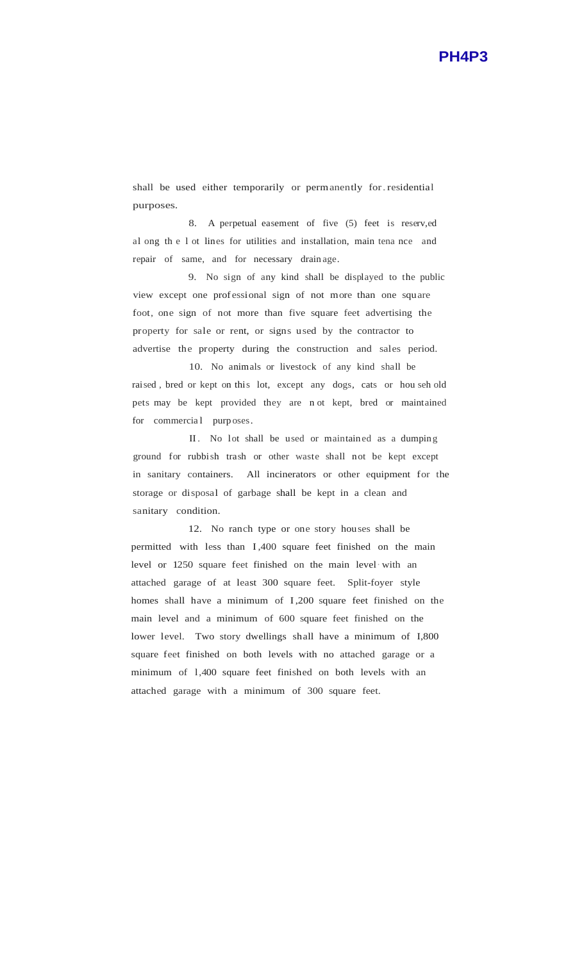#### **PH4P3**

shall be used either temporarily or permanently for.residential purposes.

8. A perpetual easement of five (5) feet is reserv,ed al ong th e l ot lines for utilities and installation, main tena nce and repair of same, and for necessary drain age.

9. No sign of any kind shall be displayed to the public view except one prof essional sign of not more than one square foot, one sign of not more than five square feet advertising the property for sale or rent, or signs used by the contractor to advertise the property during the construction and sales period.

10. No animals or livestock of any kind shall be raised , bred or kept on this lot, except any dogs, cats or hou seh old pets may be kept provided they are n ot kept, bred or maintained for commercial purposes.

II. No lot shall be used or maintained as a dumping ground for rubbish trash or other waste shall not be kept except in sanitary containers. All incinerators or other equipment for the storage or disposal of garbage shall be kept in a clean and sanitary condition.

12. No ranch type or one story houses shall be permitted with less than I ,400 square feet finished on the main level or 1250 square feet finished on the main level·with an attached garage of at least 300 square feet. Split-foyer style homes shall have a minimum of I,200 square feet finished on the main level and a minimum of 600 square feet finished on the lower level. Two story dwellings shall have a minimum of I,800 square feet finished on both levels with no attached garage or a minimum of l,400 square feet finished on both levels with an attached garage with a minimum of 300 square feet.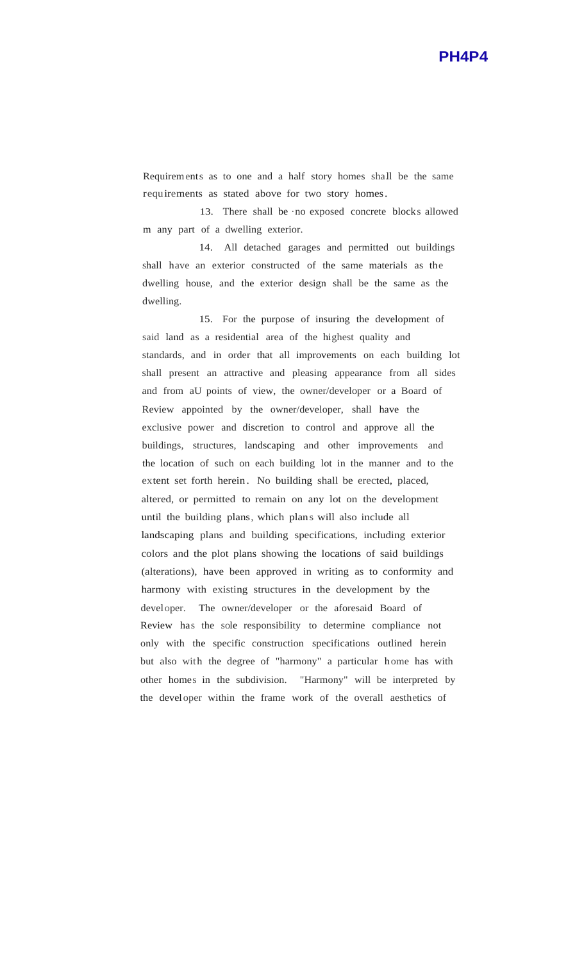Requirements as to one and a half story homes shall be the same requirements as stated above for two story homes.

13. There shall be ·no exposed concrete blocks allowed m any part of a dwelling exterior.

14. All detached garages and permitted out buildings shall have an exterior constructed of the same materials as the dwelling house, and the exterior design shall be the same as the dwelling.

15. For the purpose of insuring the development of said land as a residential area of the highest quality and standards, and in order that all improvements on each building lot shall present an attractive and pleasing appearance from all sides and from aU points of view, the owner/developer or a Board of Review appointed by the owner/developer, shall have the exclusive power and discretion to control and approve all the buildings, structures, landscaping and other improvements and the location of such on each building lot in the manner and to the extent set forth herein. No building shall be erected, placed, altered, or permitted to remain on any lot on the development until the building plans, which plans will also include all landscaping plans and building specifications, including exterior colors and the plot plans showing the locations of said buildings (alterations), have been approved in writing as to conformity and harmony with existing structures in the development by the developer. The owner/developer or the aforesaid Board of Review has the sole responsibility to determine compliance not only with the specific construction specifications outlined herein but also with the degree of "harmony" a particular home has with other homes in the subdivision. "Harmony" will be interpreted by the developer within the frame work of the overall aesthetics of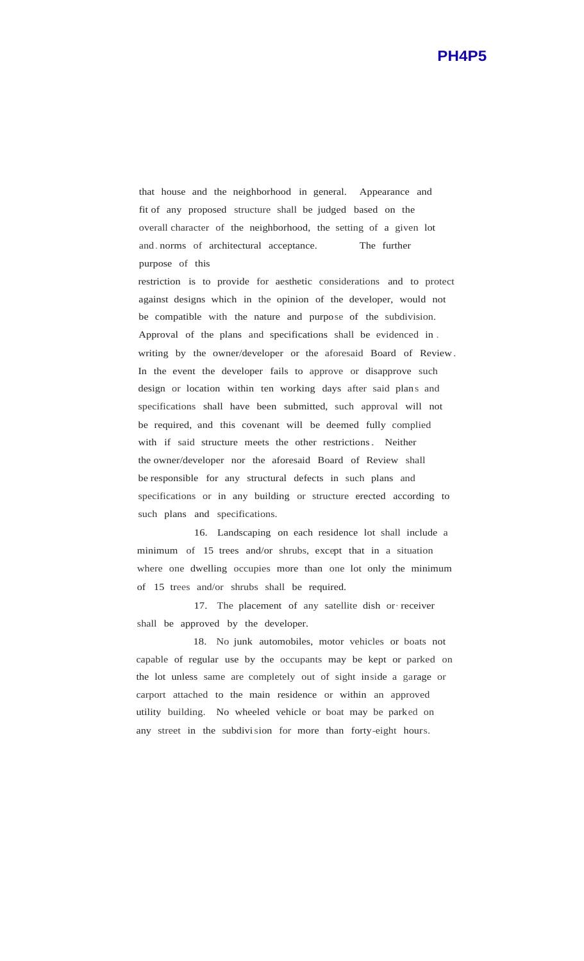that house and the neighborhood in general. Appearance and fit of any proposed structure shall be judged based on the overall character of the neighborhood, the setting of a given lot and. norms of architectural acceptance. The further purpose of this

restriction is to provide for aesthetic considerations and to protect against designs which in the opinion of the developer, would not be compatible with the nature and purpose of the subdivision. Approval of the plans and specifications shall be evidenced in . writing by the owner/developer or the aforesaid Board of Review. In the event the developer fails to approve or disapprove such design or location within ten working days after said plans and specifications shall have been submitted, such approval will not be required, and this covenant will be deemed fully complied with if said structure meets the other restrictions. Neither the owner/developer nor the aforesaid Board of Review shall be responsible for any structural defects in such plans and specifications or in any building or structure erected according to such plans and specifications.

16. Landscaping on each residence lot shall include a minimum of 15 trees and/or shrubs, except that in a situation where one dwelling occupies more than one lot only the minimum of 15 trees and/or shrubs shall be required.

17. The placement of any satellite dish or receiver shall be approved by the developer.

18. No junk automobiles, motor vehicles or boats not capable of regular use by the occupants may be kept or parked on the lot unless same are completely out of sight inside a garage or carport attached to the main residence or within an approved utility building. No wheeled vehicle or boat may be parked on any street in the subdivision for more than forty-eight hours.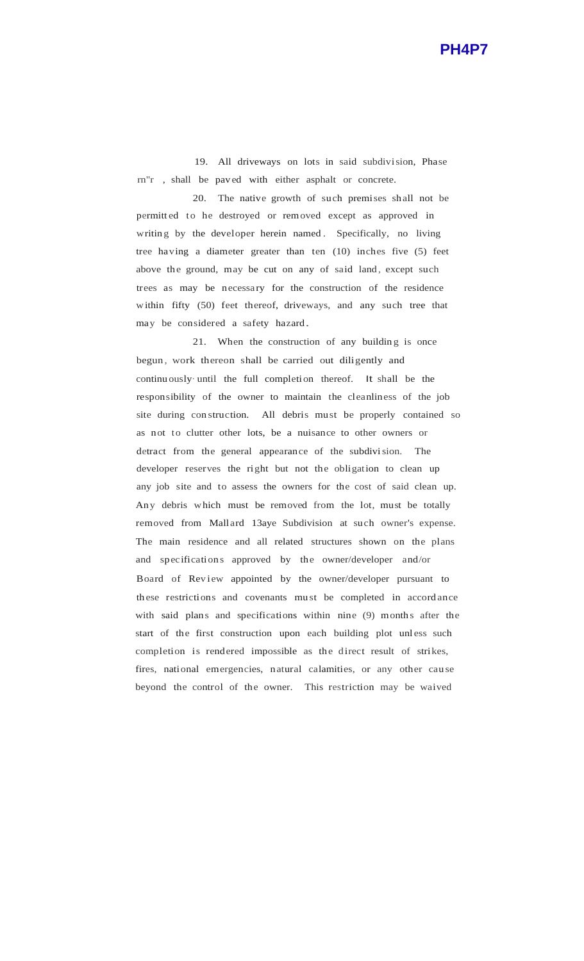### **PH4P7**

19. All driveways on lots in said subdivision, Phase rn"r , shall be paved with either asphalt or concrete.

20. The native growth of such premises shall not be permitted to he destroyed or removed except as approved in writing by the developer herein named. Specifically, no living tree having a diameter greater than ten (10) inches five (5) feet above the ground, may be cut on any of said land, except such trees as may be necessary for the construction of the residence within fifty (50) feet thereof, driveways, and any such tree that may be considered a safety hazard.

21. When the construction of any building is once begun, work thereon shall be carried out diligently and continu ously· until the full completion thereof. It shall be the responsibility of the owner to maintain the cleanliness of the job site during con struction. All debris must be properly contained so as not to clutter other lots, be a nuisance to other owners or detract from the general appearance of the subdivision. The developer reserves the right but not the obligation to clean up any job site and to assess the owners for the cost of said clean up. Any debris which must be removed from the lot, must be totally removed from Mall ard 13aye Subdivision at such owner's expense. The main residence and all related structures shown on the plans and specification s approved by the owner/developer and/or Board of Review appointed by the owner/developer pursuant to th ese restrictions and covenants mu st be completed in accord ance with said plans and specifications within nine (9) months after the start of the first construction upon each building plot unless such completion is rendered impossible as the direct result of strikes, fires, national emergencies, natural calamities, or any other cau se beyond the control of the owner. This restriction may be waived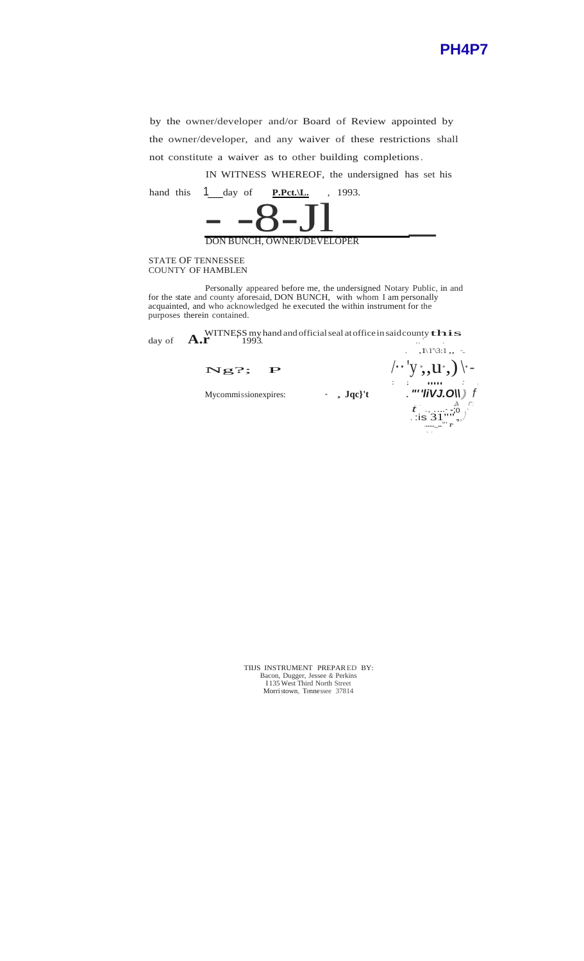

by the owner/developer and/or Board of Review appointed by the owner/developer, and any waiver of these restrictions shall not constitute a waiver as to other building completions.

IN WITNESS WHEREOF, the undersigned has set his

hand this  $1 \text{ day of } P.Pct.\L.$ , 1993.



#### STATE OF TENNESSEE COUNTY OF HAMBLEN

Personally appeared before me, the undersigned Notary Public, in and for the state and county aforesaid, DON BUNCH, with whom I am personally acquainted, and who acknowledged he executed the within instrument for the purposes therein contained.

day of **A.r** WITNESS my hand and official seal at office in said county **this** 

.<br>..... -;o ,· , $1\backslash1'\backslash3:1$ ,, -..  $Ng$ ?; P  $/ \cdot \cdot 'y$ ;,U;) : ; *:* .... *:* ... Mycommissionexpires: · , **Jqc}'t .** *"' 'liVJ.O\\) <sup>f</sup>* .. . ,.·).\ *I": t* .,....·  $\frac{2.15 \cdot 31 \cdot 10^{10}}{100}$ .

TIIJS INSTRUMENT PREPARED BY: Bacon, Dugger, Jessee & Perkins I 135 West Third North Street Morristown, Tennessee 37814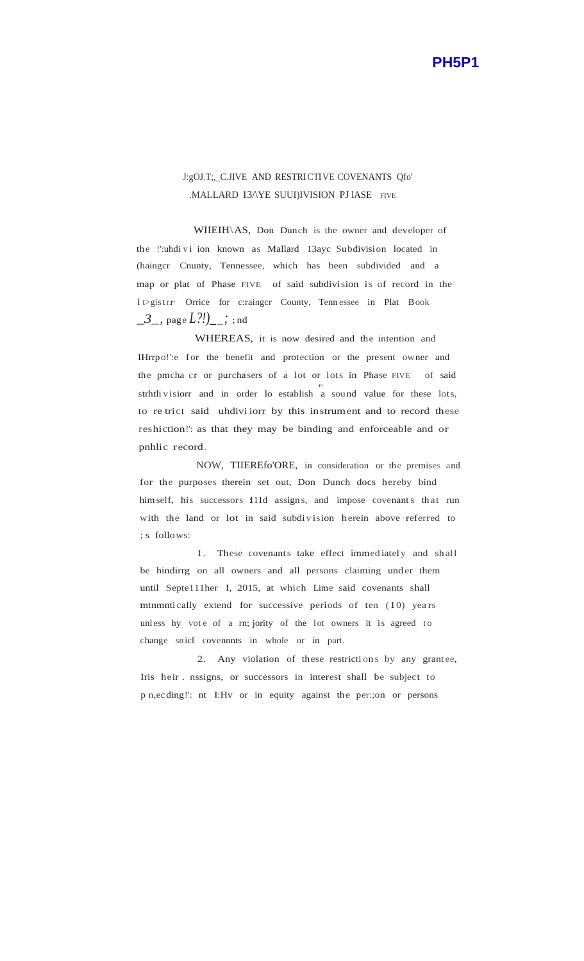# **PH5P1**

#### J:gOJ.T;,\_C.JIVE AND RESTRICTIVE COVENANTS Qfo' .MALLARD 13/\YE SUUI)IVISION PJ lASE FIVE

WIIEIH\AS, Don Dunch is the owner and developer of the !':uhdi vi ion known as Mallard 13ayc Subdivision located in (haingcr Cnunty, Tennessee, which has been subdivided and a map or plat of Phase FIVE of said subdivision is of record in the l t>gistrr· Orrice for c:raingcr County, Tenn essee in Plat Book *\_3\_,* page *L?!)\_\_;* ; nd

WHEREAS, it is now desired and the intention and IHrrpo!':e for the benefit and protection or the present owner and the pmcha cr or purchasers of a lot or lots in Phase FIVE of said strhtli v isiorr and in order lo establish a sound value for these lots, to re trict said uhdivi iorr by this instrument and to record these r eshiction!': as that they may be binding and enforceable and or pnhlic record.

NOW, TIIEREfo'ORE, in consideration or the premises and for the purposes therein set out, Don Dunch docs hereby bind himself, his successors 111d assigns, and impose covenants that run with the land or lot in said subdivision herein above referred to ; s follows:

I. These covenants take effect immediately and shall be hindirrg on all owners and all persons claiming under them until Septe111her I, 2015, at which Lime said covenants shall mtnmnti cally extend for successive periods of ten (10) years unless hy vote of a rn; jority of the lot owners it is agreed to change snicl covennnts in whole or in part.

2. Any violation of these restrictions by any grantee, Iris heir . nssigns, or successors in interest shall be subject to p n,ecding!': nt I:Hv or in equity against the per:;on or persons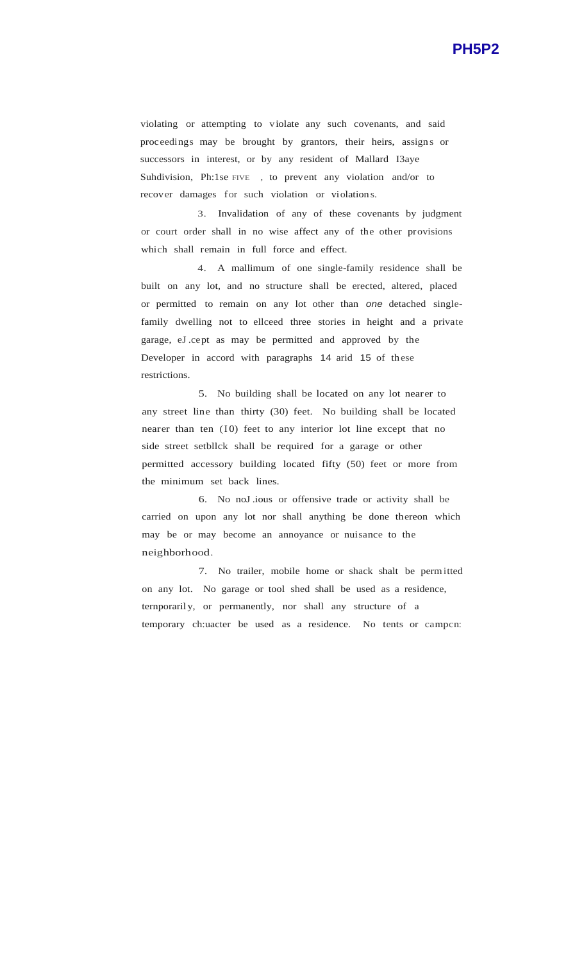**PH5P2**

violating or attempting to violate any such covenants, and said proceedings may be brought by grantors, their heirs, assigns or successors in interest, or by any resident of Mallard I3aye Suhdivision, Ph:1se FIVE , to prevent any violation and/or to recover damages for such violation or violations.

3. Invalidation of any of these covenants by judgment or court order shall in no wise affect any of the other provisions which shall remain in full force and effect.

4. A mallimum of one single-family residence shall be built on any lot, and no structure shall be erected, altered, placed or permitted to remain on any lot other than *one* detached singlefamily dwelling not to ellceed three stories in height and a private garage, eJ .cept as may be permitted and approved by the Developer in accord with paragraphs 14 arid 15 of these restrictions.

5. No building shall be located on any lot nearer to any street line than thirty (30) feet. No building shall be located nearer than ten (I0) feet to any interior lot line except that no side street setbllck shall be required for a garage or other permitted accessory building located fifty (50) feet or more from the minimum set back lines.

6. No noJ .ious or offensive trade or activity shall be carried on upon any lot nor shall anything be done thereon which may be or may become an annoyance or nuisance to the neighborhood.

7. No trailer, mobile home or shack shalt be permitted on any lot. No garage or tool shed shall be used as a residence, ternporaril y, or permanently, nor shall any structure of a temporary ch:uacter be used as a residence. No tents or campcn: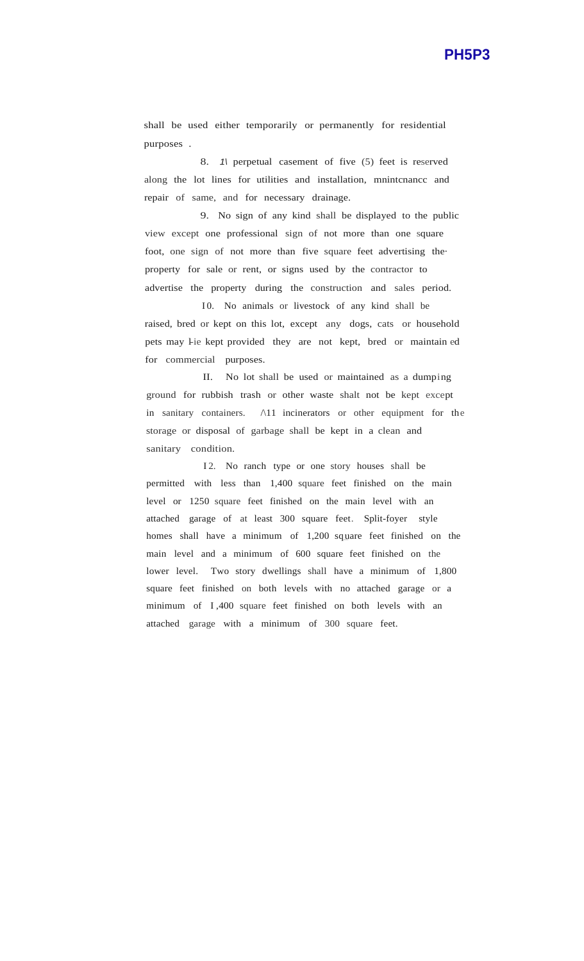

shall be used either temporarily or permanently for residential purposes .

8. *1\* perpetual casement of five (5) feet is reserved along the lot lines for utilities and installation, mnintcnancc and repair of same, and for necessary drainage.

9. No sign of any kind shall be displayed to the public view except one professional sign of not more than one square foot, one sign of not more than five square feet advertising the· property for sale or rent, or signs used by the contractor to advertise the property during the construction and sales period.

I 0. No animals or livestock of any kind shall be raised, bred or kept on this lot, except any dogs, cats or household pets may l-ie kept provided they are not kept, bred or maintain ed for commercial purposes.

II. No lot shall be used or maintained as a dumping ground for rubbish trash or other waste shalt not be kept except in sanitary containers.  $\wedge$ 11 incinerators or other equipment for the storage or disposal of garbage shall be kept in a clean and sanitary condition.

I 2. No ranch type or one story houses shall be permitted with less than 1,400 square feet finished on the main level or 1250 square feet finished on the main level with an attached garage of at least 300 square feet. Split-foyer style homes shall have a minimum of 1,200 square feet finished on the main level and a minimum of 600 square feet finished on the lower level. Two story dwellings shall have a minimum of 1,800 square feet finished on both levels with no attached garage or a minimum of I ,400 square feet finished on both levels with an attached garage with a minimum of 300 square feet.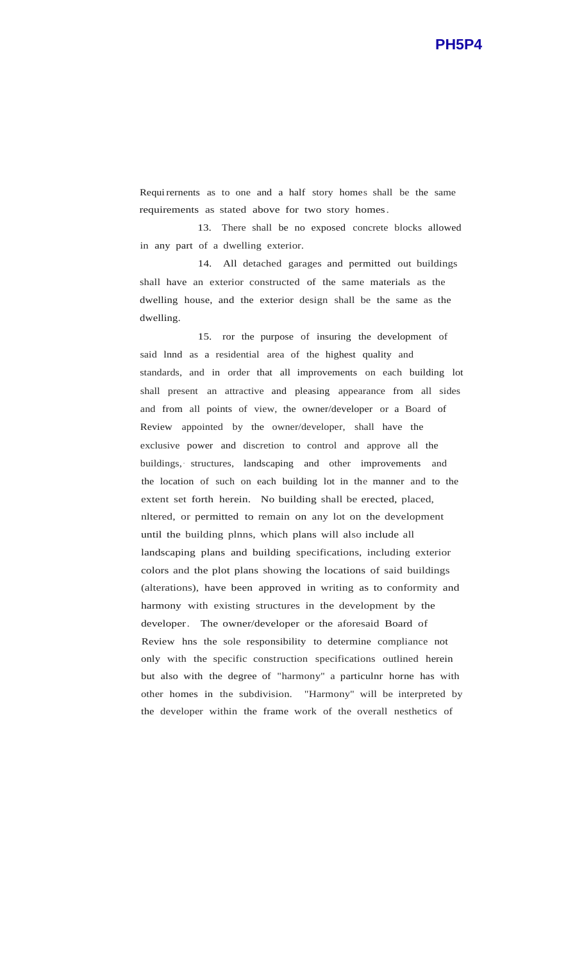Requirernents as to one and a half story homes shall be the same requirements as stated above for two story homes.

13. There shall be no exposed concrete blocks allowed in any part of a dwelling exterior.

14. All detached garages and permitted out buildings shall have an exterior constructed of the same materials as the dwelling house, and the exterior design shall be the same as the dwelling.

15. ror the purpose of insuring the development of said lnnd as a residential area of the highest quality and standards, and in order that all improvements on each building lot shall present an attractive and pleasing appearance from all sides and from all points of view, the owner/developer or a Board of Review appointed by the owner/developer, shall have the exclusive power and discretion to control and approve all the buildings, structures, landscaping and other improvements and the location of such on each building lot in the manner and to the extent set forth herein. No building shall be erected, placed, nltered, or permitted to remain on any lot on the development until the building plnns, which plans will also include all landscaping plans and building specifications, including exterior colors and the plot plans showing the locations of said buildings (alterations), have been approved in writing as to conformity and harmony with existing structures in the development by the developer. The owner/developer or the aforesaid Board of Review hns the sole responsibility to determine compliance not only with the specific construction specifications outlined herein but also with the degree of "harmony" a particulnr horne has with other homes in the subdivision. "Harmony" will be interpreted by the developer within the frame work of the overall nesthetics of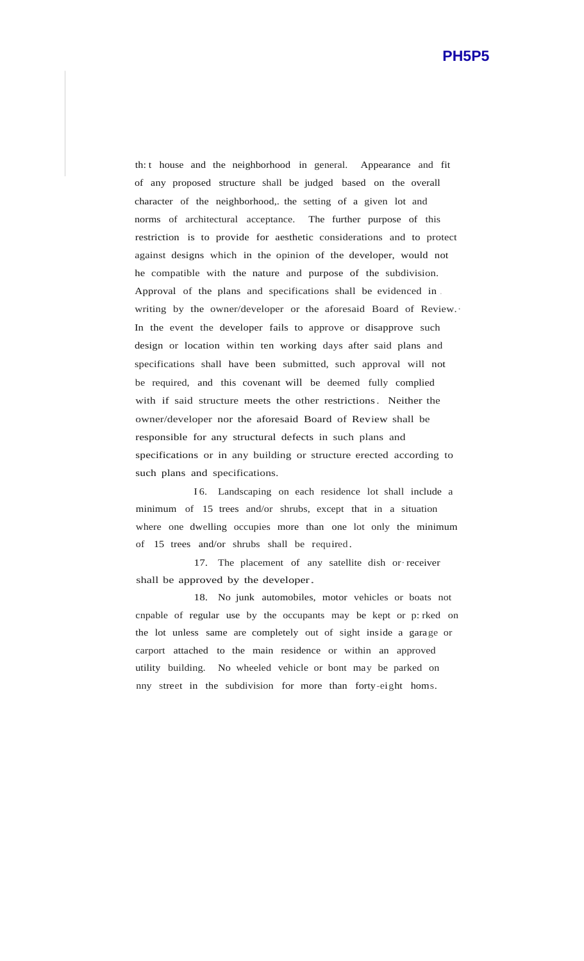# **PH5P5**

th: t house and the neighborhood in general. Appearance and fit of any proposed structure shall be judged based on the overall character of the neighborhood,. the setting of a given lot and norms of architectural acceptance. The further purpose of this restriction is to provide for aesthetic considerations and to protect against designs which in the opinion of the developer, would not he compatible with the nature and purpose of the subdivision. Approval of the plans and specifications shall be evidenced in . writing by the owner/developer or the aforesaid Board of Review.· In the event the developer fails to approve or disapprove such design or location within ten working days after said plans and specifications shall have been submitted, such approval will not be required, and this covenant will be deemed fully complied with if said structure meets the other restrictions. Neither the owner/developer nor the aforesaid Board of Review shall be responsible for any structural defects in such plans and specifications or in any building or structure erected according to such plans and specifications.

I 6. Landscaping on each residence lot shall include a minimum of 15 trees and/or shrubs, except that in a situation where one dwelling occupies more than one lot only the minimum of 15 trees and/or shrubs shall be required.

17. The placement of any satellite dish or receiver shall be approved by the developer.

18. No junk automobiles, motor vehicles or boats not cnpable of regular use by the occupants may be kept or p: rked on the lot unless same are completely out of sight inside a garage or carport attached to the main residence or within an approved utility building. No wheeled vehicle or bont may be parked on nny street in the subdivision for more than forty-eight homs.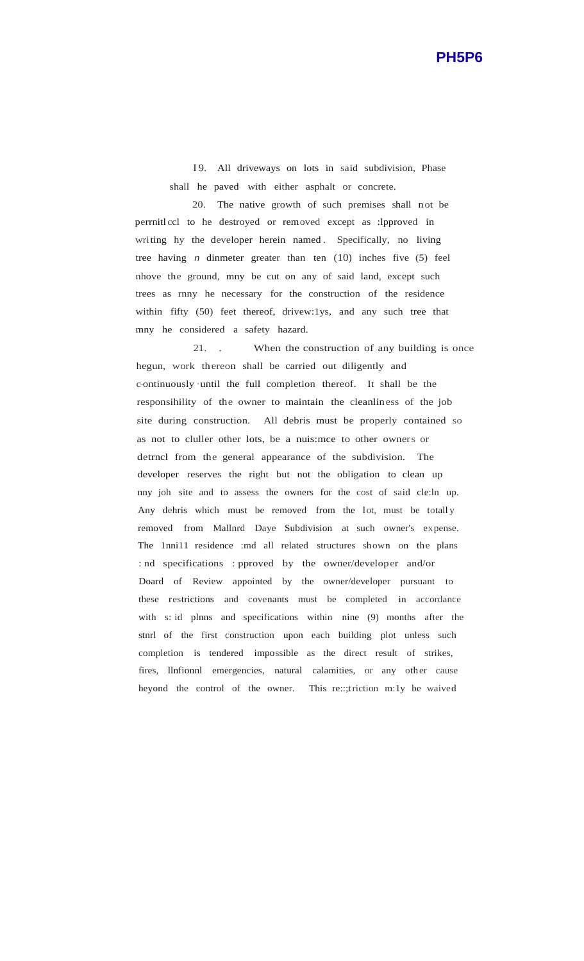### **PH5P6**

I 9. All driveways on lots in said subdivision, Phase shall he paved with either asphalt or concrete.

20. The native growth of such premises shall not be perrnitl ccl to he destroyed or removed except as :lpproved in writing hy the developer herein named . Specifically, no living tree having *n* dinmeter greater than ten (10) inches five (5) feel nhove the ground, mny be cut on any of said land, except such trees as rnny he necessary for the construction of the residence within fifty (50) feet thereof, drivew:1ys, and any such tree that mny he considered a safety hazard.

21. . When the construction of any building is once hegun, work thereon shall be carried out diligently and c-ontinuously until the full completion thereof. It shall be the responsihility of the owner to maintain the cleanliness of the job site during construction. All debris must be properly contained so as not to cluller other lots, be a nuis:mce to other owners or detrncl from the general appearance of the subdivision. The developer reserves the right but not the obligation to clean up nny joh site and to assess the owners for the cost of said cle:ln up. Any dehris which must be removed from the lot, must be totally removed from Mallnrd Daye Subdivision at such owner's expense. The 1nni11 residence :md all related structures shown on the plans : nd specifications : pproved by the owner/developer and/or Doard of Review appointed by the owner/developer pursuant to these restrictions and covenants must be completed in accordance with s: id plnns and specifications within nine (9) months after the stnrl of the first construction upon each building plot unless such completion is tendered impossible as the direct result of strikes, fires, llnfionnl emergencies, natural calamities, or any other cause heyond the control of the owner. This re::;triction m:1y be waived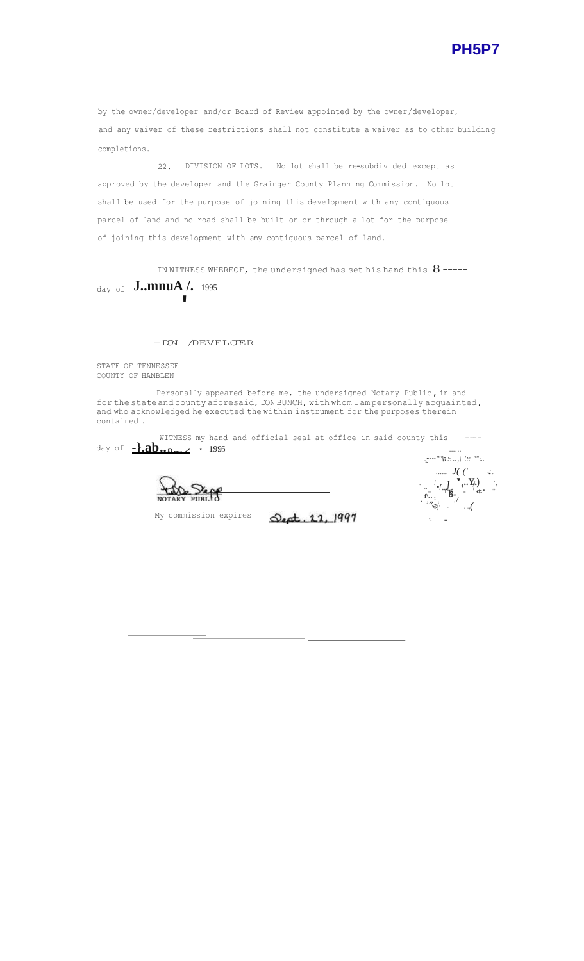

by the owner/developer and/or Board of Review appointed by the owner/developer, and any waiver of these restrictions shall not constitute a waiver as to other building completions.

22. DIVISION OF LOTS. No lot shall be re-subdivided except as approved by the developer and the Grainger County Planning Commission. No lot shall be used for the purpose of joining this development with any contiguous parcel of land and no road shall be built on or through a lot for the purpose of joining this development with any contiguous parcel of land.

day of **J..mnuA /.** <sup>1995</sup> IN WITNESS WHEREOF, the undersigned has set his hand this  $8$  -----**'** 

#### $-DON$  /DEVELOER

STATE OF TENNESSEE COUNTY OF HAMBLEN

Personally appeared before me, the undersigned Notary Public, in and for the state and county aforesaid, DON BUNCH, with whom I am personally acquainted, and who acknowledged he executed the within instrument for the purposes therein contained .

day of  $-l.a b...$  1995 WITNESS my hand and official seal at office in said county this ---<br>**- }.ab...** *n* <sup>1</sup> 1995 ......

 $My$  commission expires  $\frac{d}{dx}$ , 11, 1997

. *-r.*.*J*<sub>*6-*</sub> .<sup>...</sup>Y<sub>i</sub><sup>2</sup>, ...<sup>.</sup>  $\ddot{\phantom{0}}$ *. ..······'"'\a :·. .. ,\ '.:·: ""·...* ...... *J( ('* -.:. . *:* '**..Y,.)** ·, · IT ·-. ¢' ,,,·. ./ *'<'* <!' · ..*,( h* **f\.. .**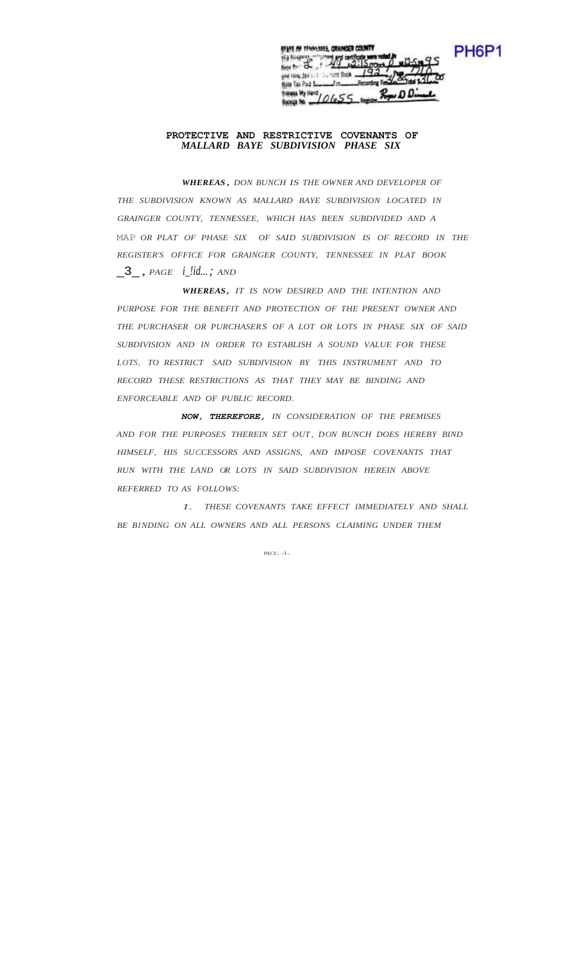STATE OF TENNISSEL GRAINGER COUNT New Or Company<br>His footback<br>New Or Company and Foon, Spd c. 1. Coursent Book . Sizie Tax Paid & HERES My HAND / O COSS R  $R_{\rm max}$   $0.0$ 

**PH6P1** 

#### **PROTECTIVE AND RESTRICTIVE COVENANTS OF** *MALLARD BAYE SUBDIVISION PHASE SIX*

*WHEREAS , DON BUNCH IS THE OWNER AND DEVELOPER OF THE SUBDIVISION KNOWN AS MALLARD BAYE SUBDIVISION LOCATED IN GRAINGER COUNTY, TENNESSEE, WHICH HAS BEEN SUBDIVIDED AND A* MAP *OR PLAT OF PHASE SIX OF SAID SUBDIVISION IS OF RECORD IN THE REGISTER'S OFFICE FOR GRAINGER COUNTY, TENNESSEE IN PLAT BOOK* \_3\_, *PAGE i\_!id...; AND*

*WHEREAS , IT IS NOW DESIRED AND THE INTENTION AND PURPOSE FOR THE BENEFIT AND PROTECTION OF THE PRESENT OWNER AND THE PURCHASER OR PURCHASERS OF A LOT OR LOTS IN PHASE SIX OF SAID SUBDIVISION AND IN ORDER TO ESTABLISH A SOUND VALUE FOR THESE LOTS, TO RESTRICT SAID SUBDIVISION BY THIS INSTRUMENT AND TO RECORD THESE RESTRICTIONS AS THAT THEY MAY BE BINDING AND ENFORCEABLE AND OF PUBLIC RECORD.*

*NOW, THEREFORE, IN CONSIDERATION OF THE PREMISES AND FOR THE PURPOSES THEREIN SET OUT, DON BUNCH DOES HEREBY BIND HIMSELF, HIS SUCCESSORS AND ASSIGNS, AND IMPOSE COVENANTS THAT RUN WITH THE LAND OR LOTS IN SAID SUBDIVISION HEREIN ABOVE REFERRED TO AS FOLLOWS:*

*1. THESE COVENANTS TAKE EFFECT IMMEDIATELY AND SHALL BE BINDING ON ALL OWNERS AND ALL PERSONS CLAIMING UNDER THEM*

 $PACE$ ;  $-1-$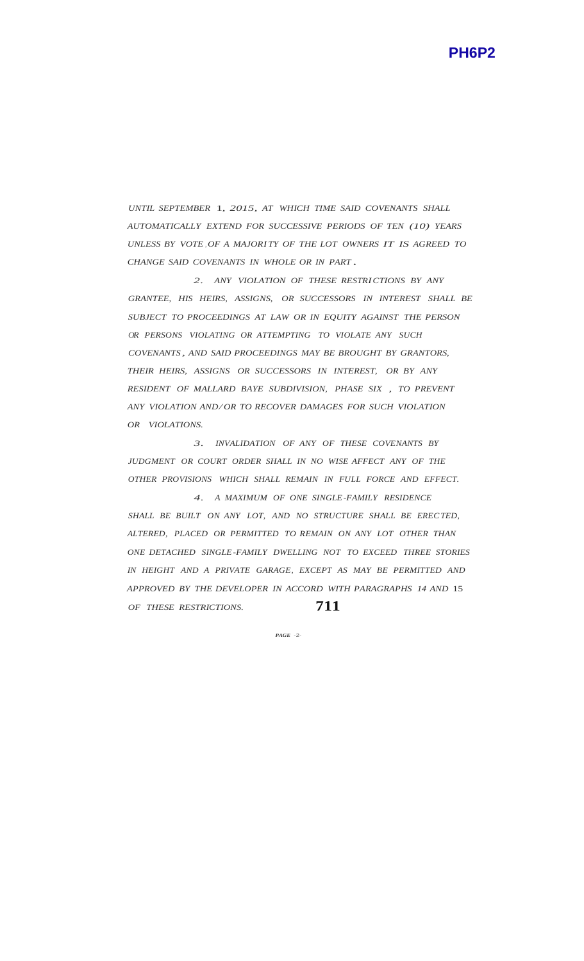*UNTIL SEPTEMBER* 1, *2015, AT WHICH TIME SAID COVENANTS SHALL AUTOMATICALLY EXTEND FOR SUCCESSIVE PERIODS OF TEN (10) YEARS UNLESS BY VOTE ,OF A MAJORI TY OF THE LOT OWNERS IT IS AGREED TO CHANGE SAID COVENANTS IN WHOLE OR IN PART .*

*2. ANY VIOLATION OF THESE RESTRICTIONS BY ANY GRANTEE, HIS HEIRS, ASSIGNS, OR SUCCESSORS IN INTEREST SHALL BE SUBJECT TO PROCEEDINGS AT LAW OR IN EQUITY AGAINST THE PERSON OR PERSONS VIOLATING OR ATTEMPTING TO VIOLATE ANY SUCH COVENANTS, AND SAID PROCEEDINGS MAY BE BROUGHT BY GRANTORS, THEIR HEIRS, ASSIGNS OR SUCCESSORS IN INTEREST, OR BY ANY RESIDENT OF MALLARD BAYE SUBDIVISION, PHASE SIX* , *TO PREVENT ANY VIOLATION AND/OR TO RECOVER DAMAGES FOR SUCH VIOLATION OR VIOLATIONS.*

*3. INVALIDATION OF ANY OF THESE COVENANTS BY JUDGMENT OR COURT ORDER SHALL IN NO WISE AFFECT ANY OF THE OTHER PROVISIONS WHICH SHALL REMAIN IN FULL FORCE AND EFFECT. 4. A MAXIMUM OF ONE SINGLE-FAMILY RESIDENCE*

*SHALL BE BUILT ON ANY LOT, AND NO STRUCTURE SHALL BE ERECTED, ALTERED, PLACED OR PERMITTED TO REMAIN ON ANY LOT OTHER THAN ONE DETACHED SINGLE-FAMILY DWELLING NOT TO EXCEED THREE STORIES IN HEIGHT AND A PRIVATE GARAGE, EXCEPT AS MAY BE PERMITTED AND APPROVED BY THE DEVELOPER IN ACCORD WITH PARAGRAPHS 14 AND* 15 *OF THESE RESTRICTIONS.* **711**

*PAGE* -2-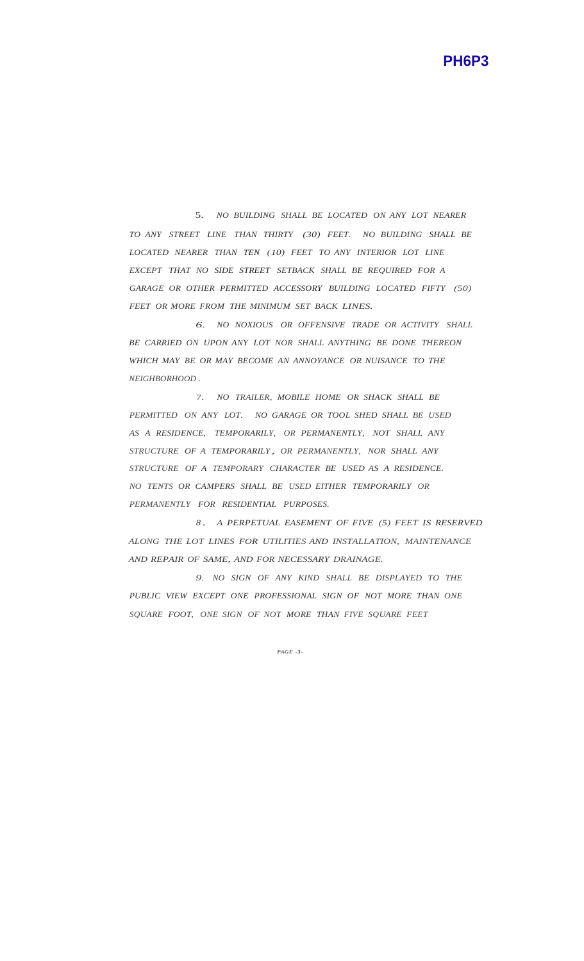5. *NO BUILDING SHALL BE LOCATED ON ANY LOT NEARER TO ANY STREET LINE THAN THIRTY (30) FEET. NO BUILDING SHALL BE LOCATED NEARER THAN TEN (10) FEET TO ANY INTERIOR LOT LINE EXCEPT THAT NO SIDE STREET SETBACK SHALL BE REQUIRED FOR A GARAGE OR OTHER PERMITTED ACCESSORY BUILDING LOCATED FIFTY (50) FEET OR MORE FROM THE MINIMUM SET BACK LINES.*

*6. NO NOXIOUS OR OFFENSIVE TRADE OR ACTIVITY SHALL BE CARRIED ON UPON ANY LOT NOR SHALL ANYTHING BE DONE THEREON WHICH MAY BE OR MAY BECOME AN ANNOYANCE OR NUISANCE TO THE NEIGHBORHOOD .*

7. *NO TRAILER, MOBILE HOME OR SHACK SHALL BE PERMITTED ON ANY LOT. NO GARAGE OR TOOL SHED SHALL BE USED AS A RESIDENCE, TEMPORARILY, OR PERMANENTLY, NOT SHALL ANY STRUCTURE OF A TEMPORARILY , OR PERMANENTLY, NOR SHALL ANY STRUCTURE OF A TEMPORARY CHARACTER BE USED AS A RESIDENCE. NO TENTS OR CAMPERS SHALL BE USED EITHER TEMPORARILY OR PERMANENTLY FOR RESIDENTIAL PURPOSES.*

*<sup>8</sup> . <sup>A</sup> PERPETUAL EASEMENT OF FIVE (5) FEET IS RESERVED ALONG THE LOT LINES FOR UTILITIES AND INSTALLATION, MAINTENANCE AND REPAIR OF SAME, AND FOR NECESSARY DRAINAGE.*

*9. NO SIGN OF ANY KIND SHALL BE DISPLAYED TO THE PUBLIC VIEW EXCEPT ONE PROFESSIONAL SIGN OF NOT MORE THAN ONE SQUARE FOOT, ONE SIGN OF NOT MORE THAN FIVE SQUARE FEET*

*PAGE -3-*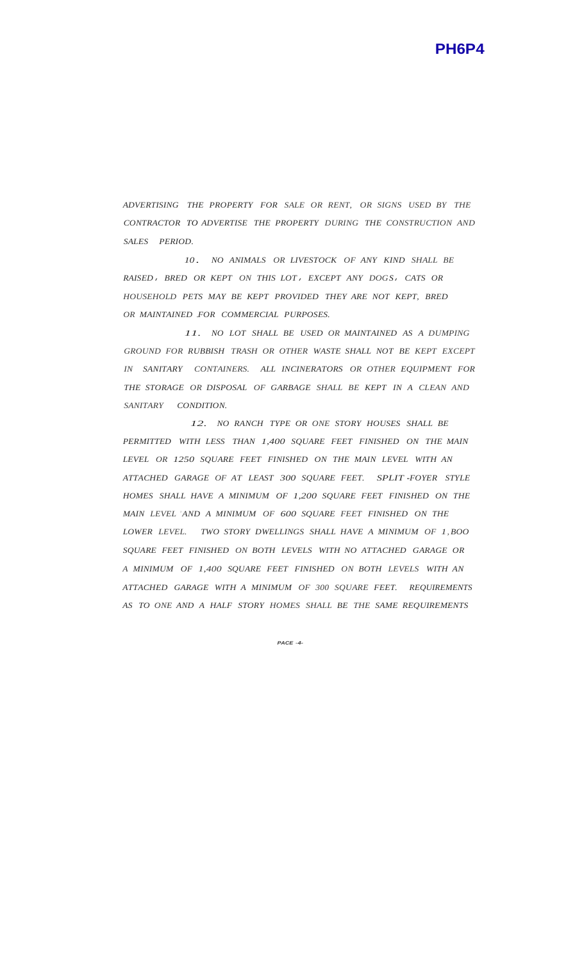*ADVERTISING THE PROPERTY FOR SALE OR RENT, OR SIGNS USED BY THE CONTRACTOR TO ADVERTISE THE PROPERTY DURING THE CONSTRUCTION AND SALES PERIOD.*

*10 . NO ANIMALS OR LIVESTOCK OF ANY KIND SHALL BE RAISED I BRED OR KEPT ON THIS LOT I EXCEPT ANY DOGS I CATS OR HOUSEHOLD PETS MAY BE KEPT PROVIDED THEY ARE NOT KEPT, BRED OR MAINTAINED .FOR COMMERCIAL PURPOSES.*

*11. NO LOT SHALL BE USED OR MAINTAINED AS A DUMPING GROUND FOR RUBBISH TRASH OR OTHER WASTE SHALL NOT BE KEPT EXCEPT IN SANITARY CONTAINERS. ALL INCINERATORS OR OTHER EQUIPMENT FOR THE STORAGE OR DISPOSAL OF GARBAGE SHALL BE KEPT IN A CLEAN AND SANITARY CONDITION.*

*12. NO RANCH TYPE OR ONE STORY HOUSES SHALL BE PERMITTED WITH LESS THAN 1,400 SQUARE FEET FINISHED ON THE MAIN LEVEL OR 1250 SQUARE FEET FINISHED ON THE MAIN LEVEL WITH AN ATTACHED GARAGE OF AT LEAST 300 SQUARE FEET. SPLIT -FOYER STYLE HOMES SHALL HAVE A MINIMUM OF 1,200 SQUARE FEET FINISHED ON THE MAIN LEVEL 'AND A MINIMUM OF 600 SQUARE FEET FINISHED ON THE LOWER LEVEL. TWO STORY DWELLINGS SHALL HAVE A MINIMUM OF 1,BOO SQUARE FEET FINISHED ON BOTH LEVELS WITH NO ATTACHED GARAGE OR A MINIMUM OF 1,400 SQUARE FEET FINISHED ON BOTH LEVELS WITH AN ATTACHED GARAGE WITH A MINIMUM OF 300 SQUARE FEET. REQUIREMENTS AS TO ONE AND A HALF STORY HOMES SHALL BE THE SAME REQUIREMENTS*

*PACE -4-*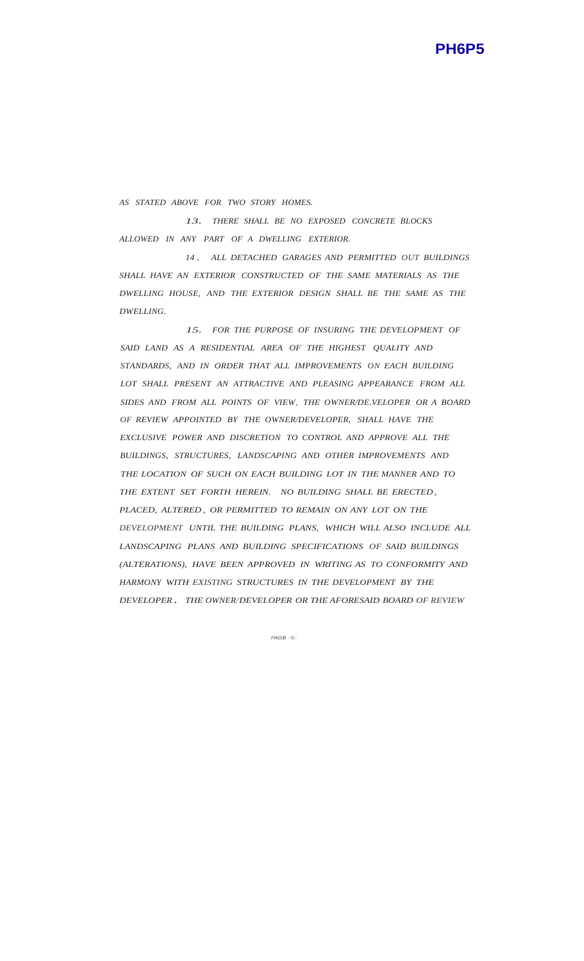*AS STATED ABOVE FOR TWO STORY HOMES.*

*13. THERE SHALL BE NO EXPOSED CONCRETE BLOCKS ALLOWED IN ANY PART OF A DWELLING EXTERIOR.*

*14* ., *ALL DETACHED GARAGES AND PERMITTED OUT BUILDINGS SHALL HAVE AN EXTERIOR CONSTRUCTED OF THE SAME MATERIALS AS THE DWELLING HOUSE, AND THE EXTERIOR DESIGN SHALL BE THE SAME AS THE DWELLING.*

*15. FOR THE PURPOSE OF INSURING THE DEVELOPMENT OF SAID LAND AS A RESIDENTIAL AREA OF THE HIGHEST QUALITY AND STANDARDS, AND IN ORDER THAT ALL IMPROVEMENTS ON EACH BUILDING LOT SHALL PRESENT AN ATTRACTIVE AND PLEASING APPEARANCE FROM ALL SIDES AND FROM ALL POINTS OF VIEW, THE OWNER/DE.VELOPER OR A BOARD OF REVIEW APPOINTED BY THE OWNER/DEVELOPER, SHALL HAVE THE EXCLUSIVE POWER AND DISCRETION TO CONTROL AND APPROVE ALL THE BUILDINGS, STRUCTURES, LANDSCAPING AND OTHER IMPROVEMENTS AND THE LOCATION OF SUCH ON EACH BUILDING LOT IN THE MANNER AND TO THE EXTENT SET FORTH HEREIN. NO BUILDING SHALL BE ERECTED, PLACED, ALTERED , OR PERMITTED TO REMAIN ON ANY LOT ON THE DEVELOPMENT UNTIL THE BUILDING PLANS, WHICH WILL ALSO INCLUDE ALL LANDSCAPING PLANS AND BUILDING SPECIFICATIONS OF SAID BUILDINGS (ALTERATIONS), HAVE BEEN APPROVED IN WRITING AS TO CONFORMITY AND HARMONY WITH EXISTING STRUCTURES IN THE DEVELOPMENT BY THE DEVELOPER . THE OWNER/DEVELOPER OR THE AFORESAID BOARD OF REVIEW*

*PAGB -S-*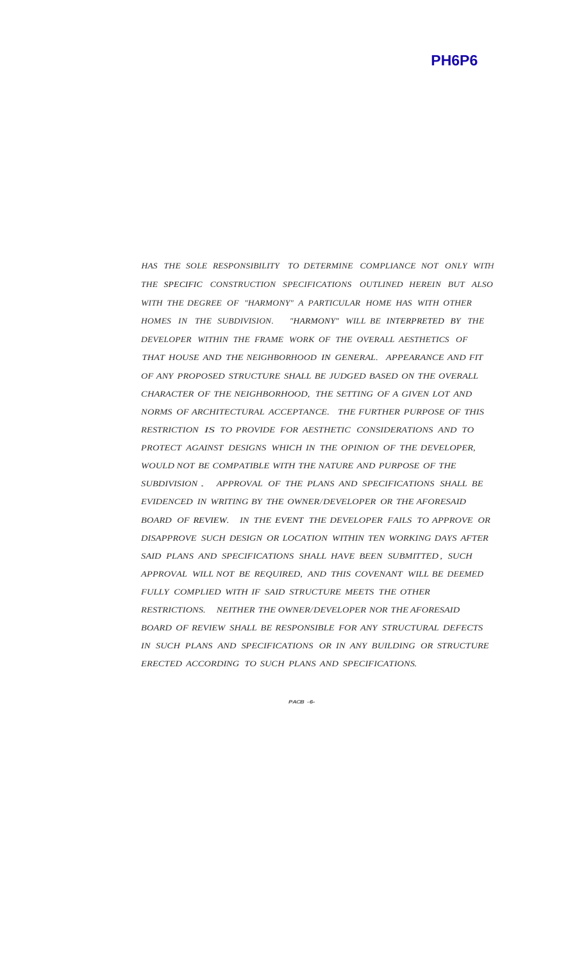*HAS THE SOLE RESPONSIBILITY TO DETERMINE COMPLIANCE NOT ONLY WITH THE SPECIFIC CONSTRUCTION SPECIFICATIONS OUTLINED HEREIN BUT ALSO WITH THE DEGREE OF "HARMONY" A PARTICULAR HOME HAS WITH OTHER HOMES IN THE SUBDIVISION. "HARMONY" WILL BE INTERPRETED BY THE DEVELOPER WITHIN THE FRAME WORK OF THE OVERALL AESTHETICS OF THAT HOUSE AND THE NEIGHBORHOOD IN GENERAL. APPEARANCE AND FIT OF ANY PROPOSED STRUCTURE SHALL BE JUDGED BASED ON THE OVERALL CHARACTER OF THE NEIGHBORHOOD, THE SETTING OF A GIVEN LOT AND NORMS OF ARCHITECTURAL ACCEPTANCE. THE FURTHER PURPOSE OF THIS RESTRICTION IS TO PROVIDE FOR AESTHETIC CONSIDERATIONS AND TO PROTECT AGAINST DESIGNS WHICH IN THE OPINION OF THE DEVELOPER, WOULD NOT BE COMPATIBLE WITH THE NATURE AND PURPOSE OF THE SUBDIVISION . APPROVAL OF THE PLANS AND SPECIFICATIONS SHALL BE EVIDENCED IN WRITING BY THE OWNER/DEVELOPER OR THE AFORESAID BOARD OF REVIEW. IN THE EVENT THE DEVELOPER FAILS TO APPROVE OR DISAPPROVE SUCH DESIGN OR LOCATION WITHIN TEN WORKING DAYS AFTER SAID PLANS AND SPECIFICATIONS SHALL HAVE BEEN SUBMITTED, SUCH APPROVAL WILL NOT BE REQUIRED, AND THIS COVENANT WILL BE DEEMED FULLY COMPLIED WITH IF SAID STRUCTURE MEETS THE OTHER RESTRICTIONS. NEITHER THE OWNER/DEVELOPER NOR THE AFORESAID BOARD OF REVIEW SHALL BE RESPONSIBLE FOR ANY STRUCTURAL DEFECTS IN SUCH PLANS AND SPECIFICATIONS OR IN ANY BUILDING OR STRUCTURE ERECTED ACCORDING TO SUCH PLANS AND SPECIFICATIONS.*

*PACB -6-*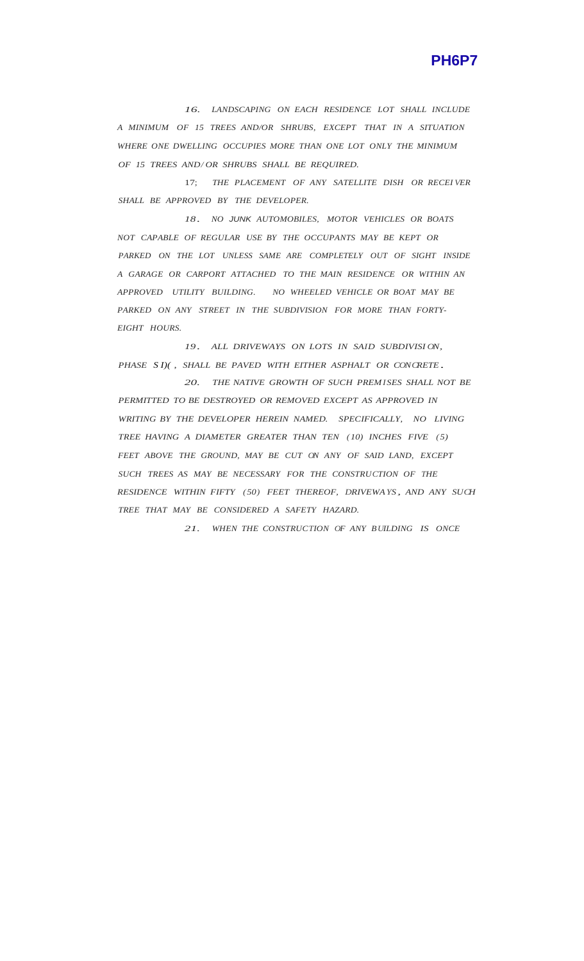*16. LANDSCAPING ON EACH RESIDENCE LOT SHALL INCLUDE A MINIMUM OF 15 TREES .AND/OR SHRUBS, EXCEPT THAT IN A SITUATION WHERE ONE DWELLING OCCUPIES MORE THAN ONE LOT ONLY THE MINIMUM OF 15 TREES AND/ OR SHRUBS SHALL BE REQUIRED.*

17; *THE PLACEMENT OF ANY SATELLITE DISH OR RECEI VER SHALL BE APPROVED BY THE DEVELOPER.*

*18. NO JUNK AUTOMOBILES, MOTOR VEHICLES OR BOATS NOT CAPABLE OF REGULAR USE BY THE OCCUPANTS MAY BE KEPT OR PARKED ON THE LOT UNLESS SAME ARE COMPLETELY OUT OF SIGHT INSIDE A GARAGE OR CARPORT ATTACHED TO THE MAIN RESIDENCE OR WITHIN AN APPROVED UTILITY BUILDING. NO WHEELED VEHICLE OR BOAT MAY BE PARKED ON ANY STREET IN THE SUBDIVISION FOR MORE THAN FORTY-EIGHT HOURS.*

*19. ALL DRIVEWAYS ON LOTS IN SAID SUBDIVISI ON, PHASE <sup>S</sup> I)(* , *SHALL BE PAVED WITH EITHER ASPHALT OR CONCRETE .*

*20. THE NATIVE GROWTH OF SUCH PREMISES SHALL NOT BE PERMITTED TO BE DESTROYED OR REMOVED EXCEPT AS APPROVED IN WRITING BY THE DEVELOPER HEREIN NAMED. SPECIFICALLY, NO LIVING TREE HAVING A DIAMETER GREATER THAN TEN (10) INCHES FIVE (5) FEET ABOVE THE GROUND, MAY BE CUT ON ANY OF SAID LAND, EXCEPT SUCH TREES AS MAY BE NECESSARY FOR THE CONSTRUCTION OF THE RESIDENCE WITHIN FIFTY (50) FEET THEREOF, DRIVEWAYS , AND ANY SUCH TREE THAT MAY BE CONSIDERED A SAFETY HAZARD.*

*21. WHEN THE CONSTRUCTION OF ANY BUILDING IS ONCE*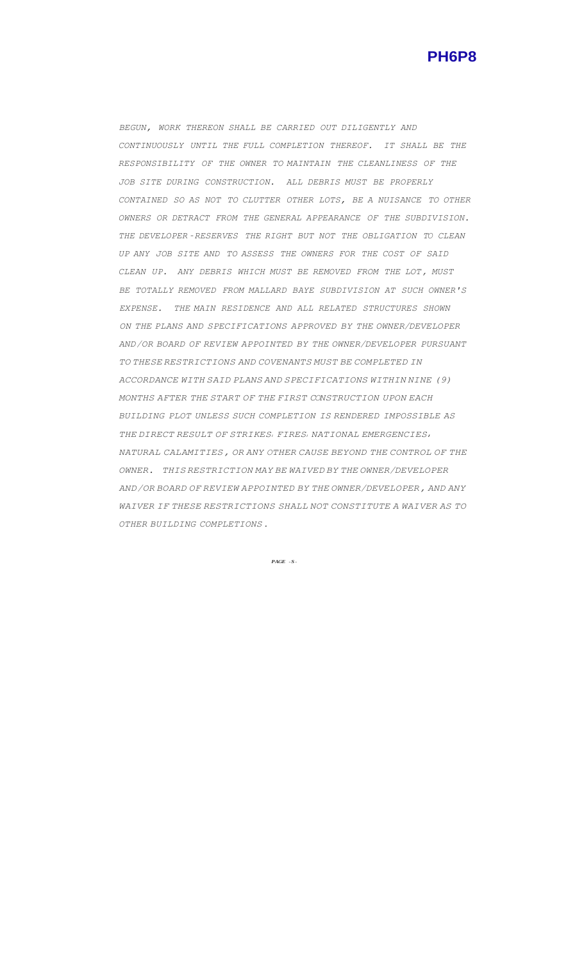#### **PH6P8**

*BEGUN, WORK THEREON SHALL BE CARRIED OUT DILIGENTLY AND CONTINUOUSLY UNTIL THE FULL COMPLETION THEREOF. IT SHALL BE THE RESPONSIBILITY OF THE OWNER TO MAINTAIN THE CLEANLINESS OF THE JOB SITE DURING CONSTRUCTION. ALL DEBRIS MUST BE PROPERLY CONTAINED SO AS NOT TO CLUTTER OTHER LOTS, BE A NUISANCE TO OTHER OWNERS OR DETRACT FROM THE GENERAL APPEARANCE OF THE SUBDIVISION. THE DEVELOPER - RESERVES THE RIGHT BUT NOT THE OBLIGATION TO CLEAN UP ANY JOB SITE AND TO ASSESS THE OWNERS FOR THE COST OF SAID CLEAN UP. ANY DEBRIS WHICH MUST BE REMOVED FROM THE LOT, MUST BE TOTALLY REMOVED FROM MALLARD BAYE SUBDIVISION AT SUCH OWNER'S EXPENSE. THE MAIN RESIDENCE AND ALL RELATED STRUCTURES SHOWN ON THE PLANS AND SPECIFICATIONS APPROVED BY THE OWNER/DEVELOPER AND/OR BOARD OF REVIEW APPOINTED BY THE OWNER/DEVELOPER PURSUANT TO THESE RESTRICTIONS AND COVENANTS MUST BE COMPLETED IN ACCORDANCE WITH SAID PLANS AND SPECIFICATIONS WITHIN NINE (9) MONTHS AFTER THE START OF THE FIRST CONSTRUCTION UPON EACH BUILDING PLOT UNLESS SUCH COMPLETION IS RENDERED IMPOSSIBLE AS THE DIRECT RESULT OF STRIKESI FIRESI NATIONAL EMERGENCIESI NATURAL CALAMITIES, OR ANY OTHER CAUSE BEYOND THE CONTROL OF THE OWNER. THISRESTRICTION MAY BE WAIVED BY THE OWNER/DEVELOPER AND/OR BOARD OF REVIEW APPOINTED BY THE OWNER/DEVELOPER, AND ANY WAIVER IF THESE RESTRICTIONS SHALL NOT CONSTITUTE A WAIVER AS TO OTHER BUILDING COMPLETIONS.*

*PAGE -S-*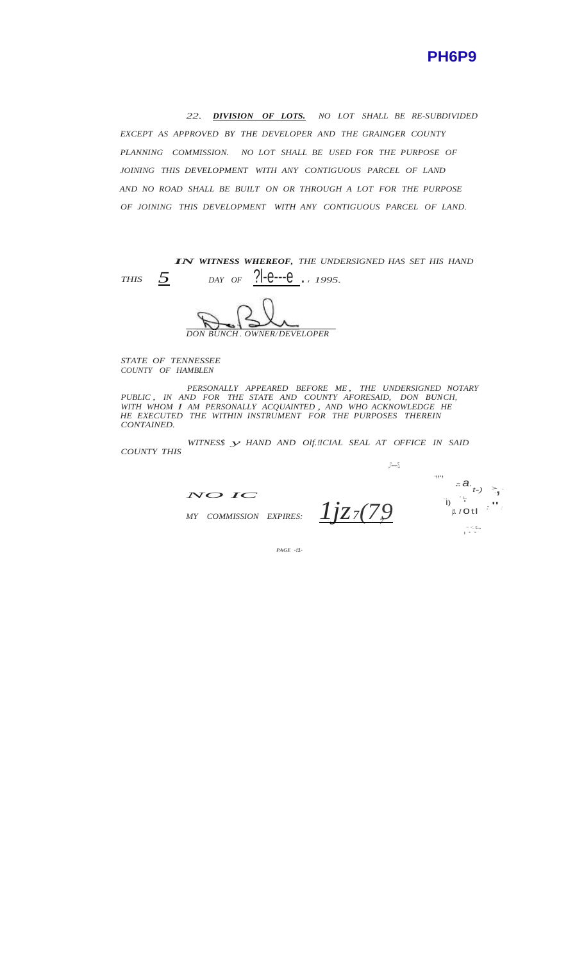

*22. DIVISION OF LOTS. NO LOT SHALL BE RE-SUBDIVIDED EXCEPT AS APPROVED BY THE DEVELOPER AND THE GRAINGER COUNTY PLANNING COMMISSION. NO LOT SHALL BE USED FOR THE PURPOSE OF JOINING THIS DEVELOPMENT WITH ANY CONTIGUOUS PARCEL OF LAND AND NO ROAD SHALL BE BUILT ON OR THROUGH A LOT FOR THE PURPOSE OF JOINING THIS DEVELOPMENT WITH ANY CONTIGUOUS PARCEL OF LAND.*

*THIS IN WITNESS WHEREOF, THE UNDERSIGNED HAS SET HIS HAND*  $\frac{5}{2}$  *DAY OF*  $\frac{?|-0--0|}{?}$ . *1995.* 

*DON BUNCH . OWNER/DEVELOPER*

*STATE OF TENNESSEE COUNTY OF HAMBLEN*

*PERSONALLY APPEARED BEFORE ME , THE UNDERSIGNED NOTARY PUBLIC , IN AND FOR THE STATE AND COUNTY AFORESAID, DON BUNCH, WITH WHOM I AM PERSONALLY ACQUAINTED , AND WHO ACKNOWLEDGE HE HE EXECUTED THE WITHIN INSTRUMENT FOR THE PURPOSES THEREIN CONTAINED.*

*COUNTY THIS WITNES\$ y HAND AND Olf.!ICIAL SEAL AT OFFICE IN SAID*

*NO IC*

 $\frac{1}{2}$  *MY* COMMISSION EXPIRES:  $\frac{1}{2}$  *z*  $7$   $79$ 

*,J'------'5.*

.,,.,  $\overline{a}$ .  $\overline{a}$ .  $\overline{b}$ .  $\overline{c}$ . *.,* ' **J....** I) ' *p. I*0tl *:* ''*:* - -∴*r...,*<br>I ' \* ' \*

*PAGE -!1-*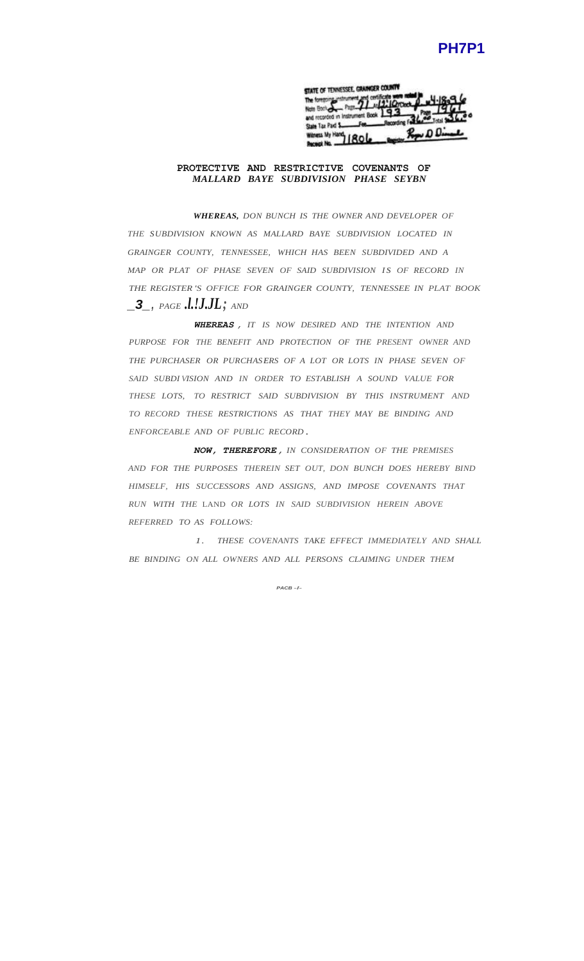## **PH7P1**

STATE OF TENNESSEE, GRAINGER COUNTY The forest  $-$  Page Nets Bock and recorded in Insti State Tax Pard \$  $R_{\rm max}$   $0.0$ ness My Han 1806

**PROTECTIVE AND RESTRICTIVE COVENANTS OF** *MALLARD BAYE SUBDIVISION PHASE SEYBN*

*WHEREAS, DON BUNCH IS THE OWNER AND DEVELOPER OF THE SUBDIVISION KNOWN AS MALLARD BAYE SUBDIVISION LOCATED IN GRAINGER COUNTY, TENNESSEE, WHICH HAS BEEN SUBDIVIDED AND A MAP OR PLAT OF PHASE SEVEN OF SAID SUBDIVISION I S OF RECORD IN THE REGISTER 'S OFFICE FOR GRAINGER COUNTY, TENNESSEE IN PLAT BOOK \_3\_, PAGE .l.!J.JL; AND*

*WHEREAS , IT IS NOW DESIRED AND THE INTENTION AND PURPOSE FOR THE BENEFIT AND PROTECTION OF THE PRESENT OWNER AND THE PURCHASER OR PURCHASERS OF A LOT OR LOTS IN PHASE SEVEN OF SAID SUBDI VISION AND IN ORDER TO ESTABLISH A SOUND VALUE FOR THESE LOTS, TO RESTRICT SAID SUBDIVISION BY THIS INSTRUMENT AND TO RECORD THESE RESTRICTIONS AS THAT THEY MAY BE BINDING AND ENFORCEABLE AND OF PUBLIC RECORD .*

*NOW, THEREFORE, IN CONSIDERATION OF THE PREMISES AND FOR THE PURPOSES THEREIN SET OUT, DON BUNCH DOES HEREBY BIND HIMSELF, HIS SUCCESSORS AND ASSIGNS, AND IMPOSE COVENANTS THAT RUN WITH THE* LAND *OR LOTS IN SAID SUBDIVISION HEREIN ABOVE REFERRED TO AS FOLLOWS:*

*1. THESE COVENANTS TAKE EFFECT IMMEDIATELY AND SHALL BE BINDING ON ALL OWNERS AND ALL PERSONS CLAIMING UNDER THEM*

*PACB -l-*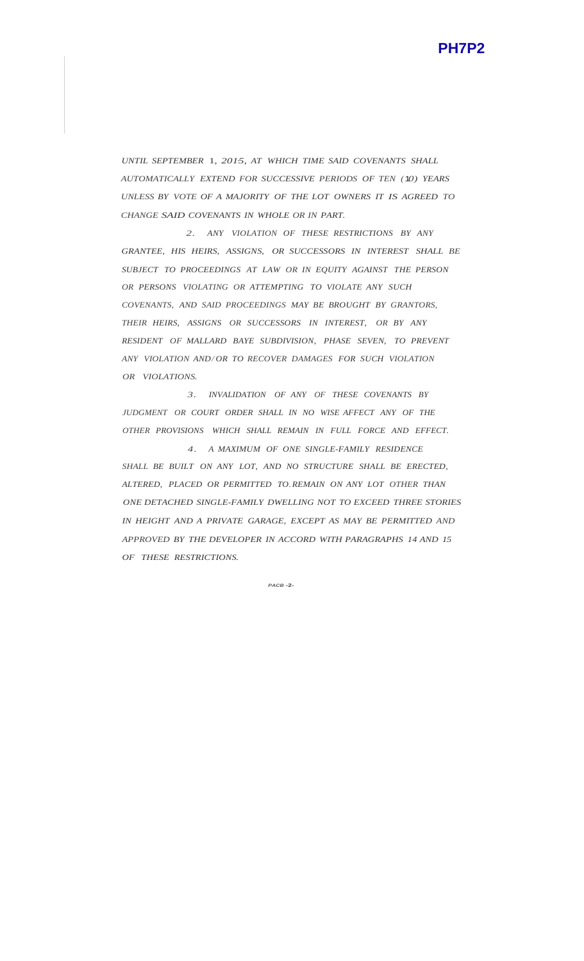# **PH7P2**

*UNTIL SEPTEMBER* 1, *201·5, AT WHICH TIME SAID COVENANTS SHALL AUTOMATICALLY EXTEND FOR SUCCESSIVE PERIODS OF TEN (*1*0) YEARS UNLESS BY VOTE OF A MAJORITY OF THE LOT OWNERS IT IS AGREED TO CHANGE SAID COVENANTS IN WHOLE OR IN PART.*

*2. ANY VIOLATION OF THESE RESTRICTIONS BY ANY GRANTEE, HIS HEIRS, ASSIGNS, OR SUCCESSORS IN INTEREST SHALL BE SUBJECT TO PROCEEDINGS AT LAW OR IN EQUITY AGAINST THE PERSON OR PERSONS VIOLATING OR ATTEMPTING TO VIOLATE ANY SUCH COVENANTS, AND SAID PROCEEDINGS MAY BE BROUGHT BY GRANTORS, THEIR HEIRS, ASSIGNS OR SUCCESSORS IN INTEREST, OR BY ANY RESIDENT OF MALLARD BAYE SUBDIVISION, PHASE SEVEN, TO PREVENT ANY VIOLATION AND/ OR TO RECOVER DAMAGES FOR SUCH VIOLATION OR VIOLATIONS.*

*3. INVALIDATION OF ANY OF THESE COVENANTS BY JUDGMENT OR COURT ORDER SHALL IN NO WISE AFFECT ANY OF THE OTHER PROVISIONS WHICH SHALL REMAIN IN FULL FORCE AND EFFECT.*

*4. A MAXIMUM OF ONE SINGLE-FAMILY RESIDENCE SHALL BE BUILT ON ANY LOT, AND NO STRUCTURE SHALL BE ERECTED, ALTERED, PLACED OR PERMITTED TO.REMAIN ON ANY LOT OTHER THAN ONE DETACHED SINGLE-FAMILY DWELLING NOT TO EXCEED THREE STORIES IN HEIGHT AND A PRIVATE GARAGE, EXCEPT AS MAY BE PERMITTED AND APPROVED BY THE DEVELOPER IN ACCORD WITH PARAGRAPHS 14 AND 15 OF THESE RESTRICTIONS.*

*PACB* **-2-**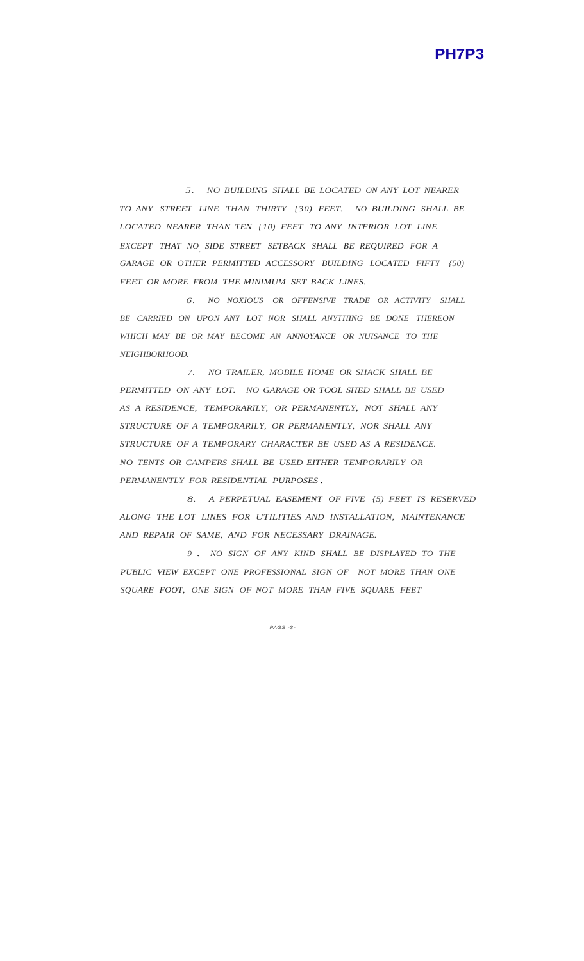*5. NO BUILDING SHALL BE LOCATED ON ANY LOT NEARER TO ANY STREET LINE THAN THIRTY {30) FEET. NO BUILDING SHALL BE LOCATED NEARER THAN TEN {10) FEET TO ANY INTERIOR LOT LINE EXCEPT THAT NO SIDE STREET SETBACK SHALL BE REQUIRED FOR A GARAGE OR OTHER PERMITTED ACCESSORY BUILDING LOCATED FIFTY {50) FEET OR MORE FROM THE MINIMUM SET BACK LINES.*

*6. NO NOXIOUS OR OFFENSIVE TRADE OR ACTIVITY SHALL BE CARRIED ON UPON ANY LOT NOR SHALL ANYTHING BE DONE THEREON WHICH MAY BE OR MAY BECOME AN ANNOYANCE OR NUISANCE TO THE NEIGHBORHOOD.*

7. *NO TRAILER, MOBILE HOME OR SHACK SHALL BE PERMITTED ON ANY LOT. NO GARAGE OR TOOL SHED SHALL BE USED AS A RESIDENCE, TEMPORARILY, OR PERMANENTLY, NOT SHALL ANY STRUCTURE OF A TEMPORARILY, OR PERMANENTLY, NOR SHALL ANY STRUCTURE OF A TEMPORARY CHARACTER BE USED AS A RESIDENCE. NO TENTS OR CAMPERS SHALL BE USED EITHER TEMPORARILY OR PERMANENTLY FOR RESIDENTIAL PURPOSES .*

*8. A PERPETUAL EASEMENT OF FIVE {5) FEET IS RESERVED ALONG THE LOT LINES FOR UTILITIES AND INSTALLATION, MAINTENANCE AND REPAIR OF SAME, AND FOR NECESSARY DRAINAGE.*

*<sup>9</sup> . NO SIGN OF ANY KIND SHALL BE DISPLAYED TO THE PUBLIC VIEW EXCEPT ONE PROFESSIONAL SIGN OF NOT MORE THAN ONE SQUARE FOOT, ONE SIGN OF NOT MORE THAN FIVE SQUARE FEET*

*PAGS -3-*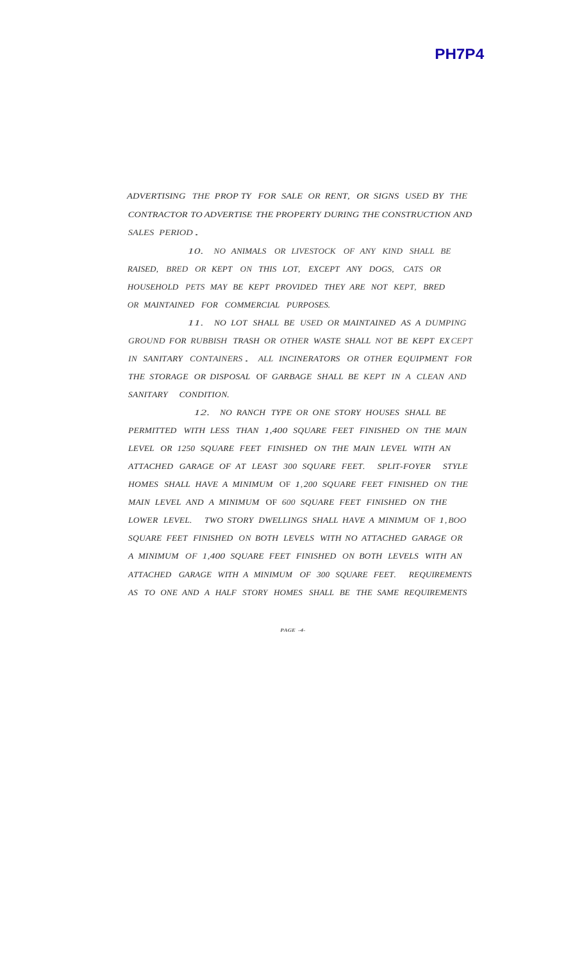### **PH7P4**

*ADVERTISING THE PROP TY FOR SALE OR RENT, OR SIGNS USED BY THE CONTRACTOR TO ADVERTISE THE PROPERTY DURING THE CONSTRUCTION AND SALES PERIOD .*

*10. NO ANIMALS OR LIVESTOCK OF ANY KIND SHALL BE RAISED, BRED OR KEPT ON THIS LOT, EXCEPT ANY DOGS, CATS OR HOUSEHOLD PETS MAY BE KEPT PROVIDED THEY ARE NOT KEPT, BRED OR MAINTAINED FOR COMMERCIAL PURPOSES.*

*11. NO LOT SHALL BE USED OR MAINTAINED AS A DUMPING GROUND FOR RUBBISH TRASH OR OTHER WASTE SHALL NOT BE KEPT EXCEPT IN SANITARY CONTAINERS . ALL INCINERATORS OR OTHER EQUIPMENT FOR THE STORAGE OR DISPOSAL* OF *GARBAGE SHALL BE KEPT IN A CLEAN AND SANITARY CONDITION.*

*12. NO RANCH TYPE OR ONE STORY HOUSES SHALL BE PERMITTED WITH LESS THAN 1,400 SQUARE FEET FINISHED ON THE MAIN LEVEL OR 1250 SQUARE FEET FINISHED ON THE MAIN LEVEL WITH AN ATTACHED GARAGE OF AT LEAST 300 SQUARE FEET. SPLIT-FOYER STYLE HOMES SHALL HAVE A MINIMUM* OF *1,200 SQUARE FEET FINISHED ON THE MAIN LEVEL AND A MINIMUM* OF *600 SQUARE FEET FINISHED ON THE LOWER LEVEL. TWO STORY DWELLINGS SHALL HAVE A MINIMUM* OF *1,BOO SQUARE FEET FINISHED ON BOTH LEVELS WITH NO ATTACHED GARAGE OR A MINIMUM OF 1,400 SQUARE FEET FINISHED ON BOTH LEVELS WITH AN ATTACHED GARAGE WITH A MINIMUM OF 300 SQUARE FEET. REQUIREMENTS AS TO ONE AND A HALF STORY HOMES SHALL BE THE SAME REQUIREMENTS*

*PAGE -4-*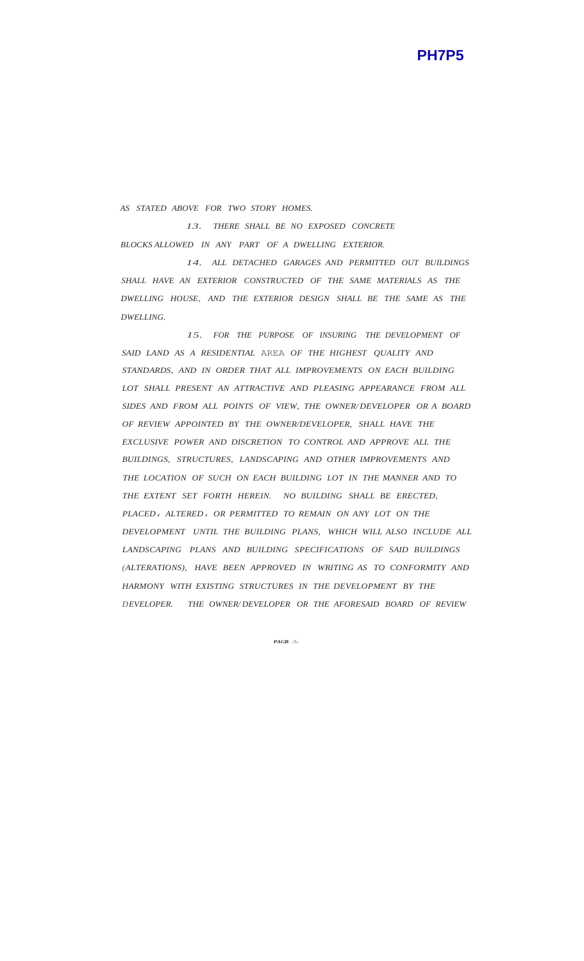*AS STATED ABOVE FOR TWO STORY HOMES.*

*13. THERE SHALL BE NO EXPOSED CONCRETE BLOCKS ALLOWED IN ANY PART OF A DWELLING EXTERIOR.*

*14. ALL DETACHED GARAGES AND PERMITTED OUT BUILDINGS SHALL HAVE AN EXTERIOR CONSTRUCTED OF THE SAME MATERIALS AS THE DWELLING HOUSE, AND THE EXTERIOR DESIGN SHALL BE THE SAME AS THE DWELLING.*

*15. FOR THE PURPOSE OF INSURING THE DEVELOPMENT OF SAID LAND AS A RESIDENTIAL* AREA *OF THE HIGHEST QUALITY AND STANDARDS, AND IN ORDER THAT ALL IMPROVEMENTS ON EACH BUILDING LOT SHALL PRESENT AN ATTRACTIVE AND PLEASING APPEARANCE FROM ALL SIDES AND FROM ALL POINTS OF VIEW, THE OWNER/DEVELOPER OR A BOARD OF REVIEW APPOINTED BY THE OWNER/DEVELOPER, SHALL HAVE THE EXCLUSIVE POWER AND DISCRETION TO CONTROL AND APPROVE ALL THE BUILDINGS, STRUCTURES, LANDSCAPING AND OTHER IMPROVEMENTS AND THE LOCATION OF SUCH ON EACH BUILDING LOT IN THE MANNER AND TO THE EXTENT SET FORTH HEREIN. NO BUILDING SHALL BE ERECTED, PLACED I ALTERED I OR PERMITTED TO REMAIN ON ANY LOT ON THE DEVELOPMENT UNTIL THE BUILDING PLANS, WHICH WILL ALSO INCLUDE ALL LANDSCAPING PLANS AND BUILDING SPECIFICATIONS OF SAID BUILDINGS (ALTERATIONS), HAVE BEEN APPROVED IN WRITING AS TO CONFORMITY AND HARMONY WITH EXISTING STRUCTURES IN THE DEVELOPMENT BY THE DEVELOPER. THE OWNER/ DEVELOPER OR THE AFORESAID BOARD OF REVIEW*

*PAGB* -5-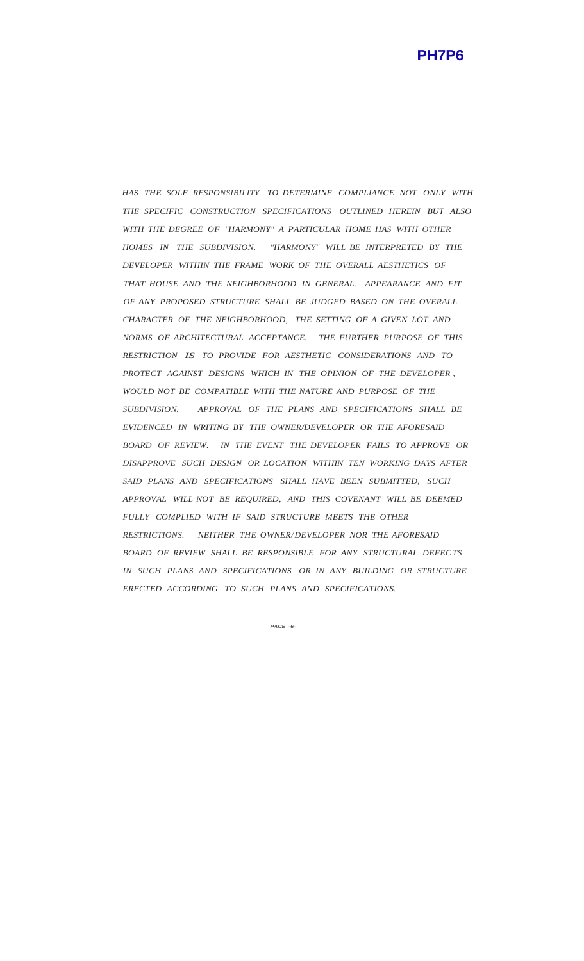*HAS THE SOLE RESPONSIBILITY TO DETERMINE COMPLIANCE NOT ONLY WITH THE SPECIFIC CONSTRUCTION SPECIFICATIONS OUTLINED HEREIN BUT ALSO WITH THE DEGREE OF "HARMONY" A PARTICULAR HOME HAS WITH OTHER HOMES IN THE SUBDIVISION. "HARMONY" WILL BE INTERPRETED BY THE DEVELOPER WITHIN THE FRAME WORK OF THE OVERALL AESTHETICS OF THAT HOUSE AND THE NEIGHBORHOOD IN GENERAL. APPEARANCE AND FIT OF ANY PROPOSED STRUCTURE SHALL BE JUDGED BASED ON THE OVERALL CHARACTER OF THE NEIGHBORHOOD, THE SETTING OF A GIVEN LOT AND NORMS OF ARCHITECTURAL ACCEPTANCE. THE FURTHER PURPOSE OF THIS RESTRICTION IS TO PROVIDE FOR AESTHETIC CONSIDERATIONS AND TO PROTECT AGAINST DESIGNS WHICH IN THE OPINION OF THE DEVELOPER , WOULD NOT BE COMPATIBLE WITH THE NATURE AND PURPOSE OF THE SUBDIVISION. APPROVAL OF THE PLANS AND SPECIFICATIONS SHALL BE EVIDENCED IN WRITING BY THE OWNER/DEVELOPER OR THE AFORESAID BOARD OF REVIEW. IN THE EVENT THE DEVELOPER FAILS TO APPROVE OR DISAPPROVE SUCH DESIGN OR LOCATION WITHIN TEN WORKING DAYS AFTER SAID PLANS AND SPECIFICATIONS SHALL HAVE BEEN SUBMITTED, SUCH APPROVAL WILL NOT BE REQUIRED, AND THIS COVENANT WILL BE DEEMED FULLY COMPLIED WITH IF SAID STRUCTURE MEETS THE OTHER RESTRICTIONS. NEITHER THE OWNER/DEVELOPER NOR THE AFORESAID BOARD OF REVIEW SHALL BE RESPONSIBLE FOR ANY STRUCTURAL DEFECTS IN SUCH PLANS AND SPECIFICATIONS OR IN ANY BUILDING OR STRUCTURE ERECTED ACCORDING TO SUCH PLANS AND SPECIFICATIONS.*

*PACE -6-*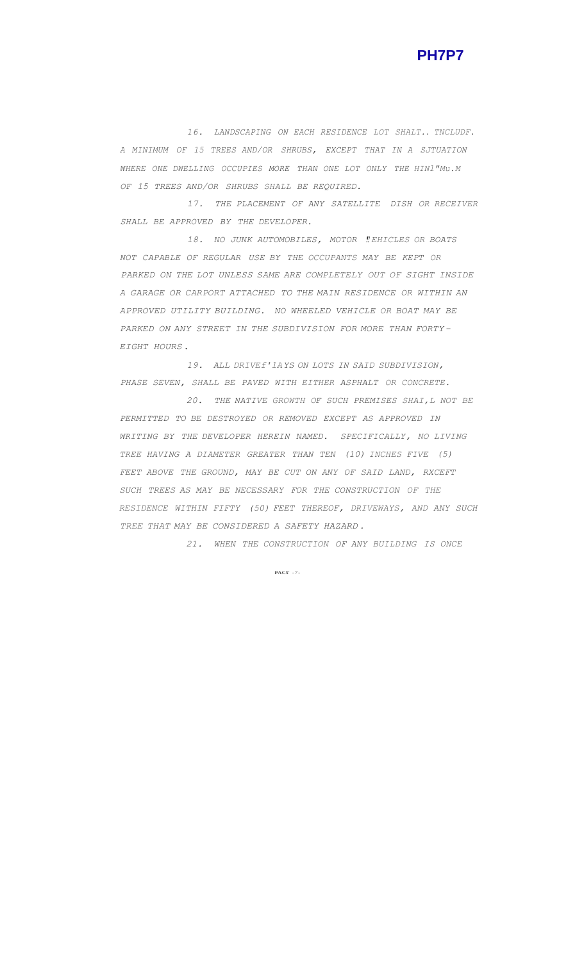

*16. LANDSCAPING ON EACH RESIDENCE LOT SHALT.. TNCLUDF. A MINIMUM OF 15 TREES AND/OR SHRUBS, EXCEPT THAT IN A SJTUATION WHERE ONE DWELLING OCCUPIES MORE THAN ONE LOT ONLY THE HINl"Mu.M OF 15 TREES AND/OR SHRUBS SHALL BE REQUIRED.*

*17. THE PLACEMENT OF ANY SATELLITE DISH OR RECEIVER SHALL BE APPROVED BY THE DEVELOPER.*

*18. NO JUNK AUTOMOBILES, MOTOR '!!EHICLES OR BOATS NOT CAPABLE OF REGULAR USE BY THE OCCUPANTS MAY BE KEPT OR PARKED ON THE LOT UNLESS SAME ARE COMPLETELY OUT OF SIGHT INSIDE A GARAGE OR CARPORT ATTACHED TO THE MAIN RESIDENCE OR WITHIN AN APPROVED UTILITY BUILDING. NO WHEELED VEHICLE OR BOAT MAY BE PARKED ON ANY STREET IN THE SUBDIVISION FOR MORE THAN FORTY-EIGHT HOURS .*

*19. ALL DRIVEf'lAYS ON LOTS IN SAID SUBDIVISION, PHASE SEVEN, SHALL BE PAVED WITH EITHER ASPHALT OR CONCRETE.*

*20. THE NATIVE GROWTH OF SUCH PREMISES SHAI,L NOT BE PERMITTED TO BE DESTROYED OR REMOVED EXCEPT AS APPROVED IN WRITING BY THE DEVELOPER HEREIN NAMED. SPECIFICALLY, NO LIVING TREE HAVING A DIAMETER GREATER THAN TEN (10) INCHES FIVE (5) FEET ABOVE THE GROUND, MAY BE CUT ON ANY OF SAID LAND, RXCEFT SUCH TREES AS MAY BE NECESSARY FOR THE CONSTRUCTION OF THE RESIDENCE WITHIN FIFTY (50) FEET THEREOF, DRIVEWAYS, AND ANY SUCH TREE THAT MAY BE CONSIDERED A SAFETY HAZARD .*

*21. WHEN THE CONSTRUCTION OF ANY BUILDING IS ONCE*

**PAC5'** -7-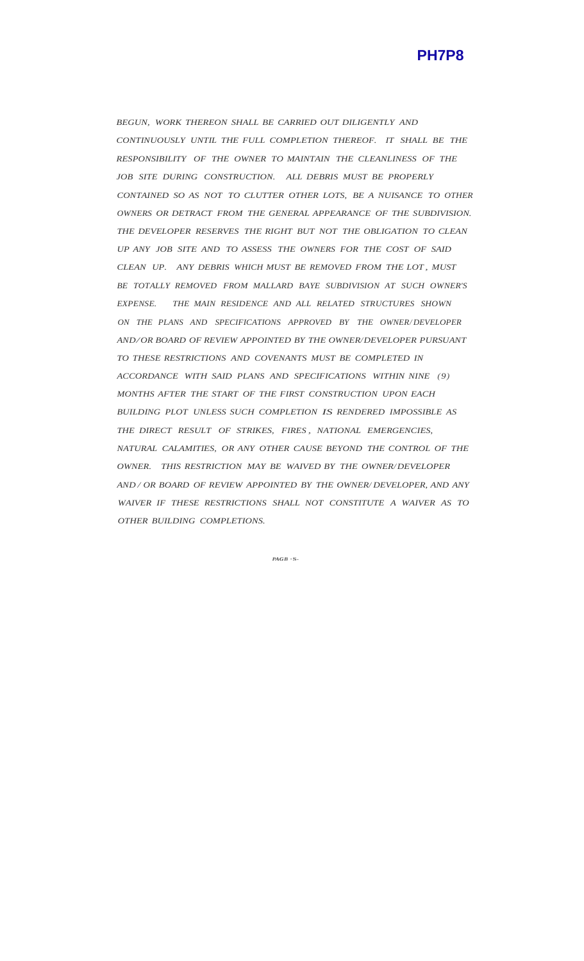### **PH7P8**

*BEGUN, WORK THEREON SHALL BE CARRIED OUT DILIGENTLY AND CONTINUOUSLY UNTIL THE FULL COMPLETION THEREOF. IT SHALL BE THE RESPONSIBILITY OF THE OWNER TO MAINTAIN THE CLEANLINESS OF THE JOB SITE DURING CONSTRUCTION. ALL DEBRIS MUST BE PROPERLY CONTAINED SO AS NOT TO CLUTTER OTHER LOTS, BE A NUISANCE TO OTHER OWNERS OR DETRACT FROM THE GENERAL APPEARANCE OF THE SUBDIVISION. THE DEVELOPER RESERVES THE RIGHT BUT NOT THE OBLIGATION TO CLEAN UP ANY JOB SITE AND TO ASSESS THE OWNERS FOR THE COST OF SAID CLEAN UP. ANY DEBRIS WHICH MUST BE REMOVED FROM THE LOT , MUST BE TOTALLY REMOVED FROM MALLARD BAYE SUBDIVISION AT SUCH OWNER'S EXPENSE. THE MAIN RESIDENCE AND ALL RELATED STRUCTURES SHOWN ON THE PLANS AND SPECIFICATIONS APPROVED BY THE OWNER/ DEVELOPER AND/OR BOARD OF REVIEW APPOINTED BY THE OWNER/DEVELOPER PURSUANT TO THESE RESTRICTIONS AND COVENANTS MUST BE COMPLETED IN ACCORDANCE WITH SAID PLANS AND SPECIFICATIONS WITHIN NINE (9) MONTHS AFTER THE START OF THE FIRST CONSTRUCTION UPON EACH BUILDING PLOT UNLESS SUCH COMPLETION IS RENDERED IMPOSSIBLE AS THE DIRECT RESULT OF STRIKES, FIRES , NATIONAL EMERGENCIES, NATURAL CALAMITIES, OR ANY OTHER CAUSE BEYOND THE CONTROL OF THE OWNER. THIS RESTRICTION MAY BE WAIVED BY THE OWNER/DEVELOPER AND / OR BOARD OF REVIEW APPOINTED BY THE OWNER/ DEVELOPER, AND ANY WAIVER IF THESE RESTRICTIONS SHALL NOT CONSTITUTE A WAIVER AS TO OTHER BUILDING COMPLETIONS.*

*PAGB* **·S-**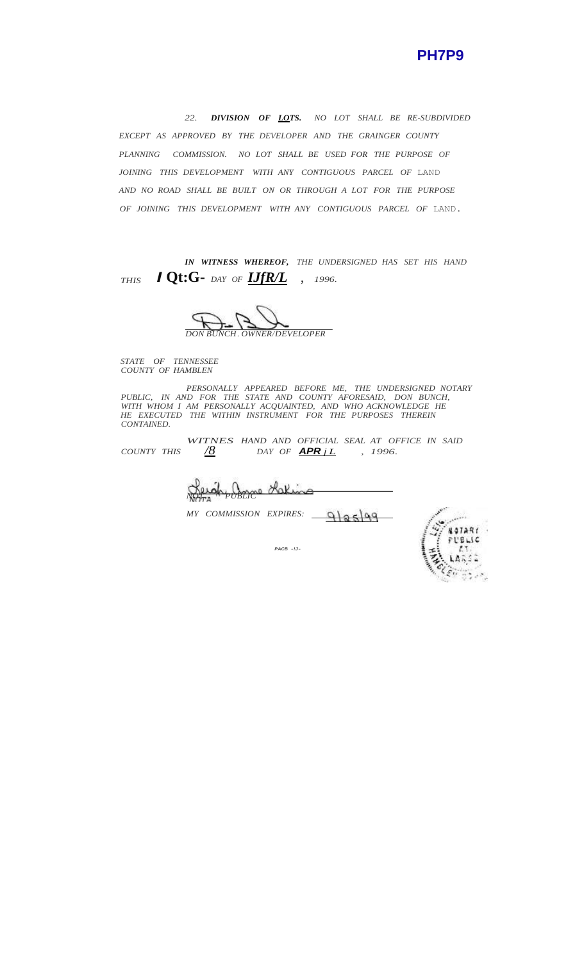

*22. DIVISION OF LOTS. NO LOT SHALL BE RE-SUBDIVIDED EXCEPT AS APPROVED BY THE DEVELOPER AND THE GRAINGER COUNTY PLANNING COMMISSION. NO LOT SHALL BE USED FOR THE PURPOSE OF* JOINING THIS DEVELOPMENT WITH ANY CONTIGUOUS PARCEL OF LAND *AND NO ROAD SHALL BE BUILT ON OR THROUGH A LOT FOR THE PURPOSE* OF JOINING THIS DEVELOPMENT WITH ANY CONTIGUOUS PARCEL OF LAND.

*THIS IN WITNESS WHEREOF, THE UNDERSIGNED HAS SET HIS HAND I* **Qt:G-** *DAY OF IJfR/L* , *1996.*

*DON BUNCH. OWNER/DEVELOPER*

*STATE OF TENNESSEE COUNTY OF HAMBLEN*

*PERSONALLY APPEARED BEFORE ME, THE UNDERSIGNED NOTARY PUBLIC, IN AND FOR THE STATE AND COUNTY AFORESAID, DON BUNCH, WITH WHOM I AM PERSONALLY ACQUAINTED, AND WHO ACKNOWLEDGE HE HE EXECUTED THE WITHIN INSTRUMENT FOR THE PURPOSES THEREIN CONTAINED.*

*WITNES HAND AND OFFICIAL SEAL AT OFFICE IN SAID COUNTY THIS*  $\sqrt{8}$  *DAY OF APR jL*, 1996.

*NOT PUBLIC*

MY COMMISSION EXPIRES: 9/25/99



*PACB -!J -*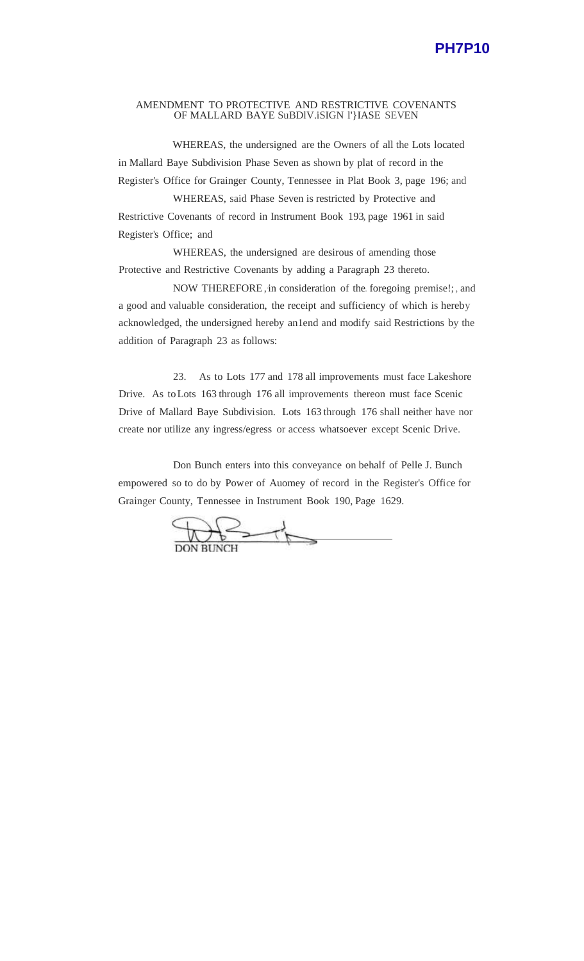#### AMENDMENT TO PROTECTIVE AND RESTRICTIVE COVENANTS OF MALLARD BAYE SuBDlV.iSIGN l'}IASE SEVEN

WHEREAS, the undersigned are the Owners of all the Lots located in Mallard Baye Subdivision Phase Seven as shown by plat of record in the Register's Office for Grainger County, Tennessee in Plat Book 3, page 196; and

WHEREAS, said Phase Seven is restricted by Protective and Restrictive Covenants of record in Instrument Book 193, page 1961 in said Register's Office; and

WHEREAS, the undersigned are desirous of amending those Protective and Restrictive Covenants by adding a Paragraph 23 thereto.

NOW THEREFORE, in consideration of the foregoing premise!;, and a good and valuable consideration, the receipt and sufficiency of which is hereby acknowledged, the undersigned hereby an1end and modify said Restrictions by the addition of Paragraph 23 as follows:

23. As to Lots 177 and 178 all improvements must face Lakeshore Drive. As toLots 163 through 176 all improvements thereon must face Scenic Drive of Mallard Baye Subdivision. Lots 163 through 176 shall neither have nor create nor utilize any ingress/egress or access whatsoever except Scenic Drive.

Don Bunch enters into this conveyance on behalf of Pelle J. Bunch empowered so to do by Power of Auomey of record in the Register's Office for Grainger County, Tennessee in Instrument Book 190, Page 1629.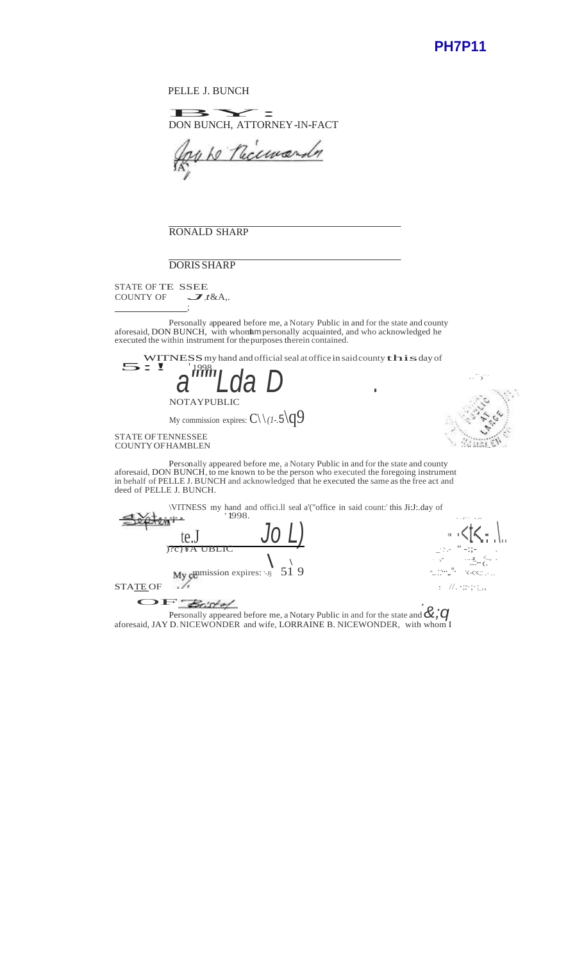PELLE J. BUNCH

BY: DON BUNCH, ATTORNEY-IN-FACT

24 he Riccourand

RONALD SHARP

#### DORISSHARP

STATE OF TE SSEE<br>COUNTY OF *J<sub>,t</sub>k*,A,. ;

Personally appeared before me, a Notary Public in and for the state and county aforesaid, DON BUNCH, with whomam personally acquainted, and who acknowledged he executed the within instrument for thepurposes therein contained.

WITNESS my hand and official seal at office in said county **this** day of

Executed the within instrument for the purposes therein contained.<br>
S:  $\sum_{n=1}^{\infty}$  .  $\sum_{n=1}^{\infty}$  .  $\sum_{n=1}^{\infty}$  .  $\sum_{n=1}^{\infty}$  .  $\sum_{n=1}^{\infty}$  . NOTAYPUBLIC

My commission expires:  $C \setminus (1.5\$ 

STATE OFTENNESSEE COUNTY OFHAMBLEN  $\sim 1.61$ 

)

.. •· .·.

Personally appeared before me, a Notary Public in and for the state and county aforesaid, DON BUNCH, to me known to be the person who executed the foregoing instrument in behalf of PELLE J. BUNCH and acknowledged that he executed the same asthe free act and deed of PELLE J. BUNCH.

\ mmission expires: '-Jj 51 9 ··.. *::···...*"· *'< -<:<.::* .·.. \VITNESS my hand and offici.ll seal a'("office in said count:' this Ji:J:.day of<br>  $\begin{array}{ccc}\n\bullet & \bullet \\
\bullet & \bullet\n\end{array}$  '1998. te.J *JO L)* ····<i<...  $\frac{1}{2}$   $\frac{1}{2}$   $\frac{1}{2}$   $\frac{1}{2}$   $\frac{1}{2}$   $\frac{1}{2}$   $\frac{1}{2}$   $\frac{1}{2}$   $\frac{1}{2}$   $\frac{1}{2}$   $\frac{1}{2}$   $\frac{1}{2}$   $\frac{1}{2}$   $\frac{1}{2}$   $\frac{1}{2}$   $\frac{1}{2}$   $\frac{1}{2}$   $\frac{1}{2}$   $\frac{1}{2}$   $\frac{1}{2}$   $\frac{1}{2}$   $\frac{1}{2}$  . .• *...1* <.., .  $\begin{array}{ccc} \sqrt{2} & \frac{1}{2} & \frac{1}{2} & \frac{1}{2} & \frac{1}{2} & \frac{1}{2} & \frac{1}{2} & \frac{1}{2} & \frac{1}{2} & \frac{1}{2} & \frac{1}{2} & \frac{1}{2} & \frac{1}{2} & \frac{1}{2} & \frac{1}{2} & \frac{1}{2} & \frac{1}{2} & \frac{1}{2} & \frac{1}{2} & \frac{1}{2} & \frac{1}{2} & \frac{1}{2} & \frac{1}{2} & \frac{1}{2} & \frac{1}{2} & \frac{1}{2} & \frac{1}{2}$  $\text{STATE OF}$   $\mathcal{N}$   $\mathcal{N}$   $\mathcal{N}$   $\mathcal{N}$   $\mathcal{N}$   $\mathcal{N}$   $\mathcal{N}$   $\mathcal{N}$   $\mathcal{N}$   $\mathcal{N}$   $\mathcal{N}$   $\mathcal{N}$   $\mathcal{N}$   $\mathcal{N}$   $\mathcal{N}$   $\mathcal{N}$   $\mathcal{N}$   $\mathcal{N}$   $\mathcal{N}$   $\mathcal{N}$   $\mathcal{N}$   $\mathcal{N}$   $\mathcal{N}$   $\mathcal{$  $OF$ *Bristof* 

Personally appeared before me, a Notary Public in and for the state and  $\&$ ;*q* aforesaid, JAY D. NICEWONDER and wife, LORRAINE B. NICEWONDER, with whom I